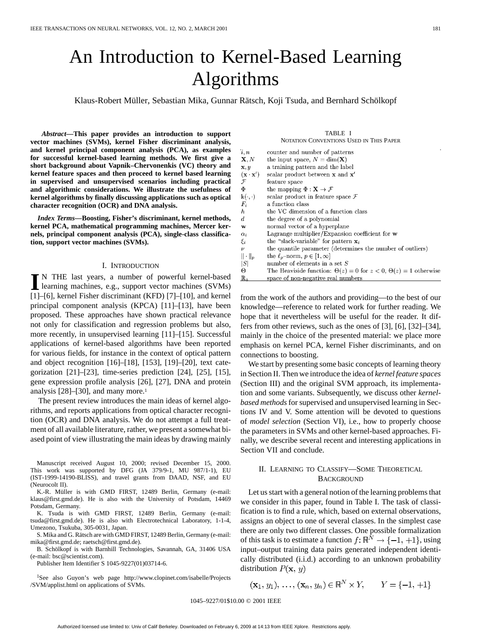# An Introduction to Kernel-Based Learning Algorithms

Klaus-Robert Müller, Sebastian Mika, Gunnar Rätsch, Koji Tsuda, and Bernhard Schölkopf

*Abstract—***This paper provides an introduction to support vector machines (SVMs), kernel Fisher discriminant analysis, and kernel principal component analysis (PCA), as examples for successful kernel-based learning methods. We first give a short background about Vapnik–Chervonenkis (VC) theory and kernel feature spaces and then proceed to kernel based learning in supervised and unsupervised scenarios including practical and algorithmic considerations. We illustrate the usefulness of kernel algorithms by finally discussing applications such as optical character recognition (OCR) and DNA analysis.**

*Index Terms—***Boosting, Fisher's discriminant, kernel methods, kernel PCA, mathematical programming machines, Mercer kernels, principal component analysis (PCA), single-class classification, support vector machines (SVMs).**

#### I. INTRODUCTION

**I** N THE last years, a number of powerful kernel-based learning machines, e.g., support vector machines (SVMs) [1]–[6], kernel Fisher discriminant (KFD) [7]–[10], and kernel principal component analysis (KPCA) [11]–[13], have been proposed. These approaches have shown practical relevance not only for classification and regression problems but also, more recently, in unsupervised learning [11]–[15]. Successful applications of kernel-based algorithms have been reported for various fields, for instance in the context of optical pattern and object recognition [16]–[18], [153], [19]–[20], text categorization [21]–[23], time-series prediction [24], [25], [15], gene expression profile analysis [26], [27], DNA and protein analysis  $[28]$ – $[30]$ , and many more.<sup>1</sup>

The present review introduces the main ideas of kernel algorithms, and reports applications from optical character recognition (OCR) and DNA analysis. We do not attempt a full treatment of all available literature, rather, we present a somewhat biased point of view illustrating the main ideas by drawing mainly

Manuscript received August 10, 2000; revised December 15, 2000. This work was supported by DFG (JA 379/9-1, MU 987/1-1), EU (IST-1999-14190-BLISS), and travel grants from DAAD, NSF, and EU (Neurocolt II).

K.-R. Müller is with GMD FIRST, 12489 Berlin, Germany (e-mail: klaus@first.gmd.de). He is also with the University of Potsdam, 14469 Potsdam, Germany.

K. Tsuda is with GMD FIRST, 12489 Berlin, Germany (e-mail: tsuda@first.gmd.de). He is also with Electrotechnical Laboratory, 1-1-4, Umezono, Tsukuba, 305-0031, Japan.

S. Mika and G. Rätsch are with GMD FIRST, 12489 Berlin, Germany (e-mail: mika@first.gmd.de; raetsch@first.gmd.de).

B. Schölkopf is with Barnhill Technologies, Savannah, GA, 31406 USA (e-mail: bsc@scientist.com).

Publisher Item Identifier S 1045-9227(01)03714-6.

1See also Guyon's web page http://www.clopinet.com/isabelle/Projects /SVM/applist.html on applications of SVMs.

TABLE I NOTATION CONVENTIONS USED IN THIS PAPER

| counter and number of patterns                                                  |
|---------------------------------------------------------------------------------|
| the input space, $N = \dim(X)$                                                  |
| a training pattern and the label                                                |
| scalar product between $x$ and $x'$                                             |
| feature space                                                                   |
| the mapping $\Phi : \mathbf{X} \to \mathcal{F}$                                 |
| scalar product in feature space $\mathcal F$                                    |
| a function class                                                                |
| the VC dimension of a function class                                            |
| the degree of a polynomial                                                      |
| normal vector of a hyperplane                                                   |
| Lagrange multiplier/Expansion coefficient for $w$                               |
| the "slack-variable" for pattern $x_i$                                          |
| the quantile parameter (determines the number of outliers)                      |
| the $\ell_p$ -norm, $p \in [1,\infty]$                                          |
| number of elements in a set $S$                                                 |
| The Heaviside function: $\Theta(z) = 0$ for $z < 0$ , $\Theta(z) = 1$ otherwise |
| space of non-negative real numbers                                              |
|                                                                                 |

from the work of the authors and providing—to the best of our knowledge—reference to related work for further reading. We hope that it nevertheless will be useful for the reader. It differs from other reviews, such as the ones of [3], [6], [32]–[34], mainly in the choice of the presented material: we place more emphasis on kernel PCA, kernel Fisher discriminants, and on connections to boosting.

We start by presenting some basic concepts of learning theory in Section II. Then we introduce the idea of *kernel feature spaces* (Section III) and the original SVM approach, its implementation and some variants. Subsequently, we discuss other *kernelbased methods*for supervised and unsupervised learning in Sections IV and V. Some attention will be devoted to questions of *model selection* (Section VI), i.e., how to properly choose the parameters in SVMs and other kernel-based approaches. Finally, we describe several recent and interesting applications in Section VII and conclude.

# II. LEARNING TO CLASSIFY—SOME THEORETICAL **BACKGROUND**

Let us start with a general notion of the learning problems that we consider in this paper, found in Table I. The task of classification is to find a rule, which, based on external observations, assigns an object to one of several classes. In the simplest case there are only two different classes. One possible formalization of this task is to estimate a function  $f: \mathbb{R}^N \to \{-1, +1\}$ , using input–output training data pairs generated independent identically distributed (i.i.d.) according to an unknown probability distribution  $P(\mathbf{x}, y)$ 

$$
(\mathbf{x}_1, y_1), \ldots, (\mathbf{x}_n, y_n) \in \mathbb{R}^N \times Y, \qquad Y = \{-1, +1\}
$$

1045–9227/01\$10.00 © 2001 IEEE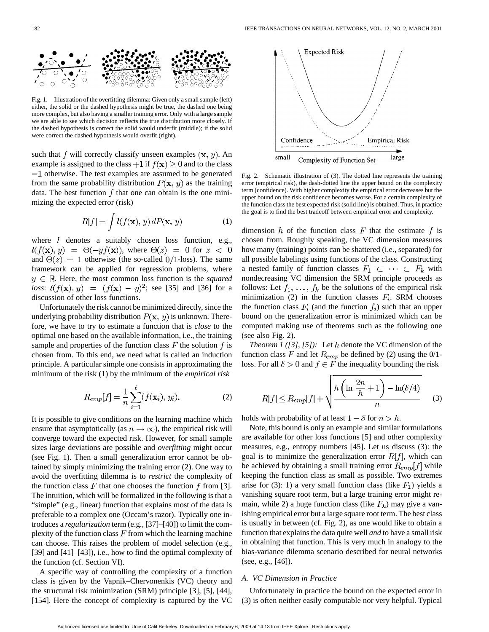

Fig. 1. Illustration of the overfitting dilemma: Given only a small sample (left) either, the solid or the dashed hypothesis might be true, the dashed one being more complex, but also having a smaller training error. Only with a large sample we are able to see which decision reflects the true distribution more closely. If the dashed hypothesis is correct the solid would underfit (middle); if the solid were correct the dashed hypothesis would overfit (right).

such that f will correctly classify unseen examples  $(x, y)$ . An example is assigned to the class  $+1$  if  $f(\mathbf{x}) \geq 0$  and to the class  $-1$  otherwise. The test examples are assumed to be generated from the same probability distribution  $P(\mathbf{x}, y)$  as the training data. The best function  $f$  that one can obtain is the one minimizing the expected error (risk)

$$
R[f] = \int l(f(\mathbf{x}), y) dP(\mathbf{x}, y)
$$
 (1)

where  $l$  denotes a suitably chosen loss function, e.g.,  $l(f(\mathbf{x}), y) = \Theta(-yf(\mathbf{x}))$ , where  $\Theta(z) = 0$  for  $z < 0$ and  $\Theta(z) = 1$  otherwise (the so-called 0/1-loss). The same framework can be applied for regression problems, where  $y \in \mathbb{R}$ . Here, the most common loss function is the *squared loss*:  $l(f(\mathbf{x}), y) = (f(\mathbf{x}) - y)^2$ ; see [35] and [36] for a discussion of other loss functions.

Unfortunately the risk cannot be minimized directly, since the underlying probability distribution  $P(\mathbf{x}, y)$  is unknown. Therefore, we have to try to estimate a function that is *close* to the optimal one based on the available information, i.e., the training sample and properties of the function class  $F$  the solution f is chosen from. To this end, we need what is called an induction principle. A particular simple one consists in approximating the minimum of the risk (1) by the minimum of the *empirical risk*

$$
R_{emp}[f] = \frac{1}{n} \sum_{i=1}^{\ell} (f(\mathbf{x}_i), y_i).
$$
 (2)

It is possible to give conditions on the learning machine which ensure that asymptotically (as  $n \to \infty$ ), the empirical risk will converge toward the expected risk. However, for small sample sizes large deviations are possible and *overfitting* might occur (see Fig. 1). Then a small generalization error cannot be obtained by simply minimizing the training error (2). One way to avoid the overfitting dilemma is to *restrict* the complexity of the function class  $F$  that one chooses the function  $f$  from [3]. The intuition, which will be formalized in the following is that a "simple" (e.g., linear) function that explains most of the data is preferable to a complex one (Occam's razor). Typically one introduces a *regularization* term (e.g., [37]–[40]) to limit the complexity of the function class  $F$  from which the learning machine can choose. This raises the problem of model selection (e.g., [39] and [41]–[43]), i.e., how to find the optimal complexity of the function (cf. Section VI).

A specific way of controlling the complexity of a function class is given by the Vapnik–Chervonenkis (VC) theory and the structural risk minimization (SRM) principle [3], [5], [44], [154]. Here the concept of complexity is captured by the VC



Fig. 2. Schematic illustration of (3). The dotted line represents the training error (empirical risk), the dash-dotted line the upper bound on the complexity term (confidence). With higher complexity the empirical error decreases but the upper bound on the risk confidence becomes worse. For a certain complexity of the function class the best expected risk (solid line) is obtained. Thus, in practice the goal is to find the best tradeoff between empirical error and complexity.

dimension h of the function class  $F$  that the estimate f is chosen from. Roughly speaking, the VC dimension measures how many (training) points can be shattered (i.e., separated) for all possible labelings using functions of the class. Constructing a nested family of function classes  $F_1 \subset \cdots \subset F_k$  with nondecreasing VC dimension the SRM principle proceeds as follows: Let  $f_1, \ldots, f_k$  be the solutions of the empirical risk minimization (2) in the function classes  $F_i$ . SRM chooses the function class  $F_i$  (and the function  $f_i$ ) such that an upper bound on the generalization error is minimized which can be computed making use of theorems such as the following one (see also Fig. 2).

*Theorem 1 ([3], [5])*: Let h denote the VC dimension of the function class F and let  $R_{emp}$  be defined by (2) using the 0/1loss. For all  $\delta > 0$  and  $f \in F$  the inequality bounding the risk

$$
R[f] \le R_{emp}[f] + \sqrt{\frac{h\left(\ln\frac{2n}{h} + 1\right) - \ln(\delta/4)}{n}} \tag{3}
$$

holds with probability of at least  $1 - \delta$  for  $n > h$ .

Note, this bound is only an example and similar formulations are available for other loss functions [5] and other complexity measures, e.g., entropy numbers [45]. Let us discuss (3): the goal is to minimize the generalization error  $R[f]$ , which can be achieved by obtaining a small training error  $R_{emp}[f]$  while keeping the function class as small as possible. Two extremes arise for (3): 1) a very small function class (like  $F_1$ ) yields a vanishing square root term, but a large training error might remain, while 2) a huge function class (like  $F_k$ ) may give a vanishing empirical error but a large square root term. The best class is usually in between (cf. Fig. 2), as one would like to obtain a function that explains the data quite well *and* to have a small risk in obtaining that function. This is very much in analogy to the bias-variance dilemma scenario described for neural networks (see, e.g., [46]).

## *A. VC Dimension in Practice*

Unfortunately in practice the bound on the expected error in (3) is often neither easily computable nor very helpful. Typical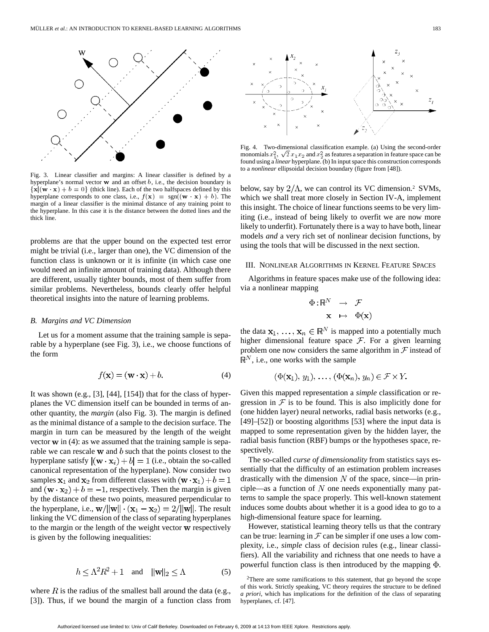

Fig. 3. Linear classifier and margins: A linear classifier is defined by a hyperplane's normal vector  $w$  and an offset  $b$ , i.e., the decision boundary is  $\{x \mid (w \cdot x) + b = 0\}$  (thick line). Each of the two halfspaces defined by this hyperplane corresponds to one class, i.e.,  $f(\mathbf{x}) = \text{sgn}((\mathbf{w} \cdot \mathbf{x}) + b)$ . The margin of a linear classifier is the minimal distance of any training point to the hyperplane. In this case it is the distance between the dotted lines and the thick line.

problems are that the upper bound on the expected test error might be trivial (i.e., larger than one), the VC dimension of the function class is unknown or it is infinite (in which case one would need an infinite amount of training data). Although there are different, usually tighter bounds, most of them suffer from similar problems. Nevertheless, bounds clearly offer helpful theoretical insights into the nature of learning problems.

## *B. Margins and VC Dimension*

Let us for a moment assume that the training sample is separable by a hyperplane (see Fig. 3), i.e., we choose functions of the form

$$
f(\mathbf{x}) = (\mathbf{w} \cdot \mathbf{x}) + b.
$$
 (4)

It was shown (e.g., [3], [44], [154]) that for the class of hyperplanes the VC dimension itself can be bounded in terms of another quantity, the *margin* (also Fig. 3). The margin is defined as the minimal distance of a sample to the decision surface. The margin in turn can be measured by the length of the weight vector  $w$  in (4): as we assumed that the training sample is separable we can rescale  $w$  and  $b$  such that the points closest to the hyperplane satisfy  $|(\mathbf{w} \cdot \mathbf{x}_i) + b| = 1$  (i.e., obtain the so-called canonical representation of the hyperplane). Now consider two samples  $x_1$  and  $x_2$  from different classes with  $(\mathbf{w} \cdot \mathbf{x}_1) + b = 1$ and  $(\mathbf{w} \cdot \mathbf{x}_2) + b = -1$ , respectively. Then the margin is given by the distance of these two points, measured perpendicular to the hyperplane, i.e.,  $\mathbf{w}/\|\mathbf{w}\| \cdot (\mathbf{x}_1 - \mathbf{x}_2) = 2/\|\mathbf{w}\|$ . The result linking the VC dimension of the class of separating hyperplanes to the margin or the length of the weight vector w respectively is given by the following inequalities:

$$
h \le \Lambda^2 R^2 + 1 \quad \text{and} \quad ||\mathbf{w}||_2 \le \Lambda \tag{5}
$$

where  $R$  is the radius of the smallest ball around the data (e.g., [3]). Thus, if we bound the margin of a function class from



Fig. 4. Two-dimensional classification example. (a) Using the second-order Fig. 4. Two-dimensional classification example. (a) Using the second-order monomials  $x_1^2$ ,  $\sqrt{2} x_1 x_2$  and  $x_2^2$  as features a separation in feature space can be found using a *linear* hyperplane. (b) In input space this construction corresponds to a *nonlinear* ellipsoidal decision boundary (figure from [48]).

below, say by  $2/\Lambda$ , we can control its VC dimension.<sup>2</sup> SVMs, which we shall treat more closely in Section IV-A, implement this insight. The choice of linear functions seems to be very limiting (i.e., instead of being likely to overfit we are now more likely to underfit). Fortunately there is a way to have both, linear models *and* a very rich set of nonlinear decision functions, by using the tools that will be discussed in the next section.

#### III. NONLINEAR ALGORITHMS IN KERNEL FEATURE SPACES

Algorithms in feature spaces make use of the following idea: via a nonlinear mapping

$$
\begin{array}{rcl} \Phi\!:\!{\mathbb R}^N & \to & {\mathcal F} \\[1mm] {\mathbf x} & \mapsto & \Phi({\mathbf x}) \end{array}
$$

the data  $\mathbf{x}_1, \ldots, \mathbf{x}_n \in \mathbb{R}^N$  is mapped into a potentially much higher dimensional feature space  $F$ . For a given learning problem one now considers the same algorithm in  $\mathcal F$  instead of  $\mathbb{R}^N$ , i.e., one works with the sample

$$
(\Phi(\mathbf{x}_1), y_1), \ldots, (\Phi(\mathbf{x}_n), y_n) \in \mathcal{F} \times Y.
$$

Given this mapped representation a *simple* classification or regression in  $\mathcal F$  is to be found. This is also implicitly done for (one hidden layer) neural networks, radial basis networks (e.g., [49]–[52]) or boosting algorithms [53] where the input data is mapped to some representation given by the hidden layer, the radial basis function (RBF) bumps or the hypotheses space, respectively.

The so-called *curse of dimensionality* from statistics says essentially that the difficulty of an estimation problem increases drastically with the dimension  $N$  of the space, since—in principle—as a function of  $N$  one needs exponentially many patterns to sample the space properly. This well-known statement induces some doubts about whether it is a good idea to go to a high-dimensional feature space for learning.

However, statistical learning theory tells us that the contrary can be true: learning in  $\mathcal F$  can be simpler if one uses a low complexity, i.e., *simple* class of decision rules (e.g., linear classifiers). All the variability and richness that one needs to have a powerful function class is then introduced by the mapping  $\Phi$ .

<sup>2</sup>There are some ramifications to this statement, that go beyond the scope of this work. Strictly speaking, VC theory requires the structure to be defined *a priori*, which has implications for the definition of the class of separating hyperplanes, cf. [47].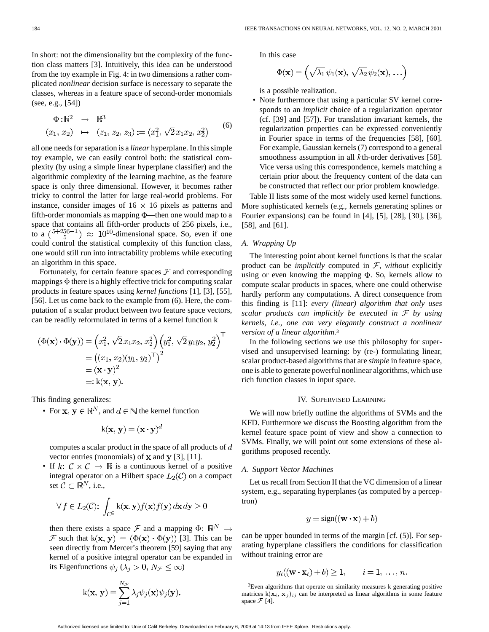In short: not the dimensionality but the complexity of the function class matters [3]. Intuitively, this idea can be understood from the toy example in Fig. 4: in two dimensions a rather complicated *nonlinear* decision surface is necessary to separate the classes, whereas in a feature space of second-order monomials (see, e.g., [54])

$$
\Phi: \mathbb{R}^2 \to \mathbb{R}^3
$$
  
(x<sub>1</sub>, x<sub>2</sub>)  $\mapsto$  (z<sub>1</sub>, z<sub>2</sub>, z<sub>3</sub>) := (x<sub>1</sub><sup>2</sup>,  $\sqrt{2}x_1x_2, x_2^2$ ) (6)

all one needs for separation is a *linear* hyperplane. In this simple toy example, we can easily control both: the statistical complexity (by using a simple linear hyperplane classifier) and the algorithmic complexity of the learning machine, as the feature space is only three dimensional. However, it becomes rather tricky to control the latter for large real-world problems. For instance, consider images of  $16 \times 16$  pixels as patterns and fifth-order monomials as mapping  $\Phi$ —then one would map to a space that contains all fifth-order products of 256 pixels, i.e., to a  $\binom{5+256-1}{5}$   $\approx$  10<sup>10</sup>-dimensional space. So, even if one could control the statistical complexity of this function class, one would still run into intractability problems while executing an algorithm in this space.

Fortunately, for certain feature spaces  $\mathcal F$  and corresponding mappings  $\Phi$  there is a highly effective trick for computing scalar products in feature spaces using *kernel functions* [1], [3], [55], [56]. Let us come back to the example from (6). Here, the computation of a scalar product between two feature space vectors, can be readily reformulated in terms of a kernel function k

$$
(\Phi(\mathbf{x}) \cdot \Phi(\mathbf{y})) = (x_1^2, \sqrt{2}x_1x_2, x_2^2) (y_1^2, \sqrt{2}y_1y_2, y_2^2)^{\top}
$$
  
=  $((x_1, x_2)(y_1, y_2)^{\top})^2$   
=  $(\mathbf{x} \cdot \mathbf{y})^2$   
=:  $\mathbf{k}(\mathbf{x}, \mathbf{y}).$ 

This finding generalizes:

• For  $\mathbf{x}, \mathbf{y} \in \mathbb{R}^N$ , and  $d \in \mathbb{N}$  the kernel function

$$
\mathbf{k}(\mathbf{x}, \mathbf{y}) = (\mathbf{x} \cdot \mathbf{y})^d
$$

computes a scalar product in the space of all products of  $d$ vector entries (monomials) of  $x$  and  $y$  [3], [11].

• If k:  $C \times C \rightarrow \mathbb{R}$  is a continuous kernel of a positive integral operator on a Hilbert space  $L_2(\mathcal{C})$  on a compact set  $C \subset \mathbb{R}^N$ , i.e.,

$$
\forall f \in L_2(\mathcal{C}) : \int_{\mathcal{C}^{\in}} k(\mathbf{x}, \mathbf{y}) f(\mathbf{x}) f(\mathbf{y}) d\mathbf{x} d\mathbf{y} \ge 0
$$

then there exists a space  $\mathcal F$  and a mapping  $\Phi: \mathbb R^N \to$  $\mathcal F$  such that  $k(x, y) = (\Phi(x) \cdot \Phi(y))$  [3]. This can be seen directly from Mercer's theorem [59] saying that any kernel of a positive integral operator can be expanded in its Eigenfunctions  $\psi_i$  ( $\lambda_i > 0$ ,  $N_{\mathcal{F}} \leq \infty$ )

$$
k(\mathbf{x}, \mathbf{y}) = \sum_{j=1}^{N_{\mathcal{F}}} \lambda_j \psi_j(\mathbf{x}) \psi_j(\mathbf{y}).
$$

In this case

$$
\Phi(\mathbf{x}) = \left(\sqrt{\lambda_1} \,\psi_1(\mathbf{x}), \sqrt{\lambda_2} \,\psi_2(\mathbf{x}), \ldots\right)
$$

is a possible realization.

• Note furthermore that using a particular SV kernel corresponds to an *implicit* choice of a regularization operator (cf. [39] and [57]). For translation invariant kernels, the regularization properties can be expressed conveniently in Fourier space in terms of the frequencies [58], [60]. For example, Gaussian kernels (7) correspond to a general smoothness assumption in all  $k$ th-order derivatives [58]. Vice versa using this correspondence, kernels matching a certain prior about the frequency content of the data can be constructed that reflect our prior problem knowledge.

Table II lists some of the most widely used kernel functions. More sophisticated kernels (e.g., kernels generating splines or Fourier expansions) can be found in [4], [5], [28], [30], [36], [58], and [61].

## *A. Wrapping Up*

The interesting point about kernel functions is that the scalar product can be *implicitly* computed in  $F$ , *without* explicitly using or even knowing the mapping  $\Phi$ . So, kernels allow to compute scalar products in spaces, where one could otherwise hardly perform any computations. A direct consequence from this finding is [11]: *every (linear) algorithm that only uses scalar products can implicitly be executed in by using kernels, i.e., one can very elegantly construct a nonlinear version of a linear algorithm.*<sup>3</sup>

In the following sections we use this philosophy for supervised and unsupervised learning: by (re-) formulating linear, scalar product-based algorithms that are *simple* in feature space, one is able to generate powerful nonlinear algorithms, which use rich function classes in input space.

#### IV. SUPERVISED LEARNING

We will now briefly outline the algorithms of SVMs and the KFD. Furthermore we discuss the Boosting algorithm from the kernel feature space point of view and show a connection to SVMs. Finally, we will point out some extensions of these algorithms proposed recently.

#### *A. Support Vector Machines*

Let us recall from Section II that the VC dimension of a linear system, e.g., separating hyperplanes (as computed by a perceptron)

$$
y = \text{sign}((\mathbf{w} \cdot \mathbf{x}) + b)
$$

can be upper bounded in terms of the margin [cf. (5)]. For separating hyperplane classifiers the conditions for classification without training error are

$$
y_i((\mathbf{w} \cdot \mathbf{x}_i) + b) \ge 1, \quad i = 1, \ldots, n.
$$

3Even algorithms that operate on similarity measures k generating positive matrices  $k(\mathbf{x}_i, \mathbf{x}_j)_{ij}$  can be interpreted as linear algorithms in some feature space  $\mathcal{F}$  [4].

Authorized licensed use limited to: Univ of Calif Berkeley. Downloaded on February 6, 2009 at 14:13 from IEEE Xplore. Restrictions apply.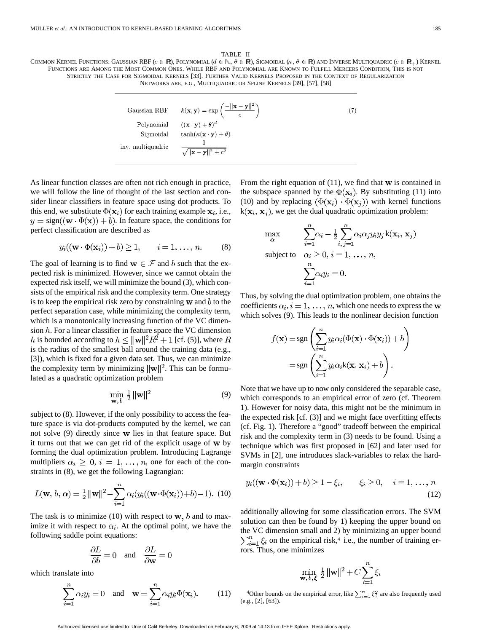#### TABLE II

COMMON KERNEL FUNCTIONS: GAUSSIAN RBF ( $c \in \mathbb{R}$ ), POLYNOMIAL ( $d \in \mathbb{N}$ ,  $\theta \in \mathbb{R}$ ), SIGMOIDAL ( $\kappa$ ,  $\theta \in \mathbb{R}$ ) AND INVERSE MULTIQUADRIC ( $c \in \mathbb{R}_+$ ) KERNEL FUNCTIONS ARE AMONG THE MOST COMMON ONES. WHILE RBF AND POLYNOMIAL ARE KNOWN TO FULFILL MERCERS CONDITION, THIS IS NOT STRICTLY THE CASE FOR SIGMOIDAL KERNELS [33]. FURTHER VALID KERNELS PROPOSED IN THE CONTEXT OF REGULARIZATION NETWORKS ARE, E.G., MULTIQUADRIC OR SPLINE KERNELS [39], [57], [58]

| Gaussian RBF      | $k(\mathbf{x}, \mathbf{y}) = \exp \left( \frac{-\ \mathbf{x} - \mathbf{y}\ ^2}{c} \right).$ | (7) |
|-------------------|---------------------------------------------------------------------------------------------|-----|
| Polynomial        | $((\mathbf{x} \cdot \mathbf{v}) + \theta)^d$                                                |     |
| Sigmoidal         | $\tanh(\kappa(\mathbf{x} \cdot \mathbf{y}) + \theta)$                                       |     |
| inv. multiquadric | $\sqrt{\ \mathbf{x}-\mathbf{y}\ ^2 + c^2}$                                                  |     |

As linear function classes are often not rich enough in practice, we will follow the line of thought of the last section and consider linear classifiers in feature space using dot products. To this end, we substitute  $\Phi(\mathbf{x}_i)$  for each training example  $\mathbf{x}_i$ , i.e.,  $y = sign((\mathbf{w} \cdot \Phi(\mathbf{x})) + b)$ . In feature space, the conditions for perfect classification are described as

$$
y_i((\mathbf{w} \cdot \Phi(\mathbf{x}_i)) + b) \ge 1, \qquad i = 1, \dots, n. \tag{8}
$$

The goal of learning is to find  $\mathbf{w} \in \mathcal{F}$  and b such that the expected risk is minimized. However, since we cannot obtain the expected risk itself, we will minimize the bound (3), which consists of the empirical risk and the complexity term. One strategy is to keep the empirical risk zero by constraining  $w$  and  $b$  to the perfect separation case, while minimizing the complexity term, which is a monotonically increasing function of the VC dimension  $h$ . For a linear classifier in feature space the VC dimension h is bounded according to  $h \le ||w||^2 R^2 + 1$  [cf. (5)], where R is the radius of the smallest ball around the training data (e.g., [3]), which is fixed for a given data set. Thus, we can minimize the complexity term by minimizing  $\|\mathbf{w}\|^2$ . This can be formulated as a quadratic optimization problem

$$
\min_{\mathbf{w},b} \frac{1}{2} ||\mathbf{w}||^2 \tag{9}
$$

subject to (8). However, if the only possibility to access the feature space is via dot-products computed by the kernel, we can not solve  $(9)$  directly since w lies in that feature space. But it turns out that we can get rid of the explicit usage of w by forming the dual optimization problem. Introducing Lagrange multipliers  $\alpha_i \geq 0, i = 1, \ldots, n$ , one for each of the constraints in (8), we get the following Lagrangian:

$$
L(\mathbf{w}, b, \alpha) = \frac{1}{2} ||\mathbf{w}||^2 - \sum_{i=1}^n \alpha_i (y_i((\mathbf{w} \cdot \Phi(\mathbf{x}_i)) + b) - 1). \tag{10}
$$

The task is to minimize (10) with respect to  $w$ ,  $b$  and to maximize it with respect to  $\alpha_i$ . At the optimal point, we have the following saddle point equations:

$$
\frac{\partial L}{\partial b} = 0 \quad \text{and} \quad \frac{\partial L}{\partial \mathbf{w}} = 0
$$

which translate into

$$
\sum_{i=1}^{n} \alpha_i y_i = 0 \quad \text{and} \quad \mathbf{w} = \sum_{i=1}^{n} \alpha_i y_i \Phi(\mathbf{x}_i). \tag{11}
$$

From the right equation of  $(11)$ , we find that w is contained in the subspace spanned by the  $\Phi(\mathbf{x}_i)$ . By substituting (11) into (10) and by replacing  $(\Phi(\mathbf{x}_i) \cdot \Phi(\mathbf{x}_i))$  with kernel functions  $k(\mathbf{x}_i, \mathbf{x}_j)$ , we get the dual quadratic optimization problem:

$$
\max_{\mathbf{\alpha}} \qquad \sum_{i=1}^{n} \alpha_i - \frac{1}{2} \sum_{i,j=1}^{n} \alpha_i \alpha_j y_i y_j \mathbf{k}(\mathbf{x}_i, \mathbf{x}_j)
$$
\nsubject to  $\alpha_i \geq 0, i = 1, ..., n,$ \n
$$
\sum_{i=1}^{n} \alpha_i y_i = 0.
$$

Thus, by solving the dual optimization problem, one obtains the coefficients  $\alpha_i$ ,  $i = 1, \ldots, n$ , which one needs to express the w which solves (9). This leads to the nonlinear decision function

$$
f(\mathbf{x}) = \operatorname{sgn}\left(\sum_{i=1}^{n} y_i \alpha_i (\Phi(\mathbf{x}) \cdot \Phi(\mathbf{x}_i)) + b\right)
$$

$$
= \operatorname{sgn}\left(\sum_{i=1}^{n} y_i \alpha_i \mathbf{k}(\mathbf{x}, \mathbf{x}_i) + b\right).
$$

Note that we have up to now only considered the separable case, which corresponds to an empirical error of zero (cf. Theorem 1). However for noisy data, this might not be the minimum in the expected risk [cf. (3)] and we might face overfitting effects (cf. Fig. 1). Therefore a "good" tradeoff between the empirical risk and the complexity term in (3) needs to be found. Using a technique which was first proposed in [62] and later used for SVMs in [2], one introduces slack-variables to relax the hardmargin constraints

$$
y_i((\mathbf{w} \cdot \Phi(\mathbf{x}_i)) + b) \ge 1 - \xi_i, \qquad \xi_i \ge 0, \quad i = 1, \dots, n
$$
\n(12)

additionally allowing for some classification errors. The SVM solution can then be found by 1) keeping the upper bound on the VC dimension small and 2) by minimizing an upper bound  $\sum_{i=1}^{n} \xi_i$  on the empirical risk,<sup>4</sup> i.e., the number of training errors. Thus, one minimizes

$$
\min_{\mathbf{w}, b, \boldsymbol{\xi}} \frac{1}{2} ||\mathbf{w}||^2 + C \sum_{i=1}^n \xi_i
$$

<sup>4</sup>Other bounds on the empirical error, like  $\sum_{i=1}^{n} \xi_i^2$  are also frequently used (e.g., [2], [63]).

Authorized licensed use limited to: Univ of Calif Berkeley. Downloaded on February 6, 2009 at 14:13 from IEEE Xplore. Restrictions apply.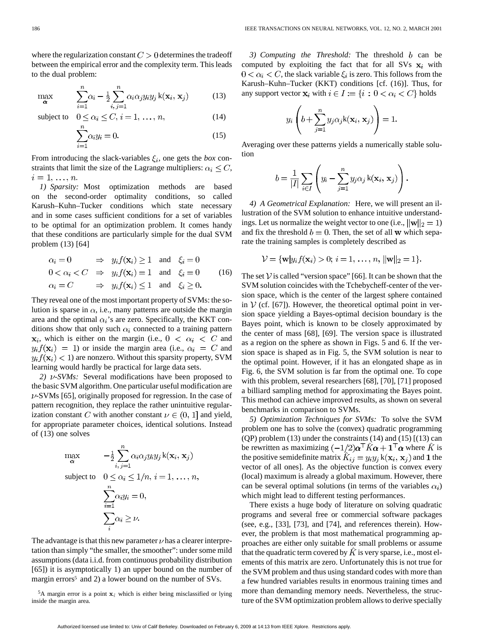where the regularization constant  $C > 0$  determines the tradeoff between the empirical error and the complexity term. This leads to the dual problem:

$$
\max_{\mathbf{\alpha}} \qquad \sum_{i=1}^{n} \alpha_i - \frac{1}{2} \sum_{i,j=1}^{n} \alpha_i \alpha_j y_i y_j \mathbf{k}(\mathbf{x}_i, \mathbf{x}_j) \tag{13}
$$

$$
subject to \quad 0 \le \alpha_i \le C, i = 1, ..., n,
$$
\n<sup>(14)</sup>

$$
\sum_{i=1}^{n} \alpha_i y_i = 0. \tag{15}
$$

From introducing the slack-variables  $\xi_i$ , one gets the *box* constraints that limit the size of the Lagrange multipliers:  $\alpha_i \leq C$ ,  $i=1,\ldots,n$ .

*1) Sparsity:* Most optimization methods are based on the second-order optimality conditions, so called Karush–Kuhn–Tucker conditions which state necessary and in some cases sufficient conditions for a set of variables to be optimal for an optimization problem. It comes handy that these conditions are particularly simple for the dual SVM problem (13) [64]

$$
\alpha_i = 0 \quad \Rightarrow \quad y_i f(\mathbf{x}_i) \ge 1 \quad \text{and} \quad \xi_i = 0
$$
\n
$$
0 < \alpha_i < C \quad \Rightarrow \quad y_i f(\mathbf{x}_i) = 1 \quad \text{and} \quad \xi_i = 0 \tag{16}
$$
\n
$$
\alpha_i = C \quad \Rightarrow \quad y_i f(\mathbf{x}_i) \le 1 \quad \text{and} \quad \xi_i \ge 0.
$$

They reveal one of the most important property of SVMs: the solution is sparse in  $\alpha$ , i.e., many patterns are outside the margin area and the optimal  $\alpha_i$ 's are zero. Specifically, the KKT conditions show that only such  $\alpha_i$  connected to a training pattern  $x_i$ , which is either on the margin (i.e.,  $0 < \alpha_i < C$  and  $y_i f(\mathbf{x}_i) = 1$ ) or inside the margin area (i.e.,  $\alpha_i = C$  and  $y_i f(\mathbf{x}_i)$  < 1) are nonzero. Without this sparsity property, SVM learning would hardly be practical for large data sets.

2)  $\nu$ -SVMs: Several modifications have been proposed to the basic SVM algorithm. One particular useful modification are  $\nu$ -SVMs [65], originally proposed for regression. In the case of pattern recognition, they replace the rather unintuitive regularization constant C with another constant  $\nu \in (0, 1]$  and yield, for appropriate parameter choices, identical solutions. Instead of (13) one solves

$$
\max_{\mathbf{\alpha}} \qquad -\frac{1}{2} \sum_{i,j=1}^{n} \alpha_i \alpha_j y_i y_j \mathbf{k}(\mathbf{x}_i, \mathbf{x}_j)
$$
\nsubject to 
$$
0 \le \alpha_i \le 1/n, i = 1, ..., n,
$$
\n
$$
\sum_{i=1}^{n} \alpha_i y_i = 0,
$$
\n
$$
\sum_{i} \alpha_i \ge \nu.
$$

The advantage is that this new parameter  $\nu$  has a clearer interpretation than simply "the smaller, the smoother": under some mild assumptions (data i.i.d. from continuous probability distribution [65]) it is asymptotically 1) an upper bound on the number of margin errors<sup>5</sup> and 2) a lower bound on the number of SVs.

<sup>5</sup>A margin error is a point  $x_i$  which is either being misclassified or lying inside the margin area.

*3) Computing the Threshold:* The threshold *b* can be computed by exploiting the fact that for all SVs  $x_i$  with  $0 < \alpha_i < C$ , the slack variable  $\xi_i$  is zero. This follows from the Karush–Kuhn–Tucker (KKT) conditions [cf. (16)]. Thus, for any support vector  $\mathbf{x}_i$  with  $i \in I := \{i : 0 < \alpha_i < C\}$  holds

$$
y_i\left(b+\sum_{j=1}^n y_j\alpha_j\mathbf{k}(\mathbf{x}_i,\mathbf{x}_j)\right)=1.
$$

Averaging over these patterns yields a numerically stable solution

$$
b = \frac{1}{|I|} \sum_{i \in I} \left( y_i - \sum_{j=1}^n y_j \alpha_j \mathbf{k}(\mathbf{x}_i, \mathbf{x}_j) \right).
$$

*4) A Geometrical Explanation:* Here, we will present an illustration of the SVM solution to enhance intuitive understandings. Let us normalize the weight vector to one (i.e.,  $||\mathbf{w}||_2 = 1$ ) and fix the threshold  $b = 0$ . Then, the set of all w which separate the training samples is completely described as

$$
\mathcal{V} = \{ \mathbf{w} | y_i f(\mathbf{x}_i) > 0; i = 1, ..., n, ||\mathbf{w}||_2 = 1 \}.
$$

The set  $V$  is called "version space" [66]. It can be shown that the SVM solution coincides with the Tchebycheff-center of the version space, which is the center of the largest sphere contained in  $V$  (cf. [67]). However, the theoretical optimal point in version space yielding a Bayes-optimal decision boundary is the Bayes point, which is known to be closely approximated by the center of mass [68], [69]. The version space is illustrated as a region on the sphere as shown in Figs. 5 and 6. If the version space is shaped as in Fig. 5, the SVM solution is near to the optimal point. However, if it has an elongated shape as in Fig. 6, the SVM solution is far from the optimal one. To cope with this problem, several researchers [68], [70], [71] proposed a billiard sampling method for approximating the Bayes point. This method can achieve improved results, as shown on several benchmarks in comparison to SVMs.

*5) Optimization Techniques for SVMs:* To solve the SVM problem one has to solve the (convex) quadratic programming  $(QP)$  problem  $(13)$  under the constraints  $(14)$  and  $(15)$   $[(13)$  can be rewritten as maximizing  $(-1/2)\boldsymbol{\alpha}^\top \hat{K} \boldsymbol{\alpha} + \mathbf{1}^\top \boldsymbol{\alpha}$  where  $\hat{K}$  is the positive semidefinite matrix  $K_{ij} = y_i y_j \mathbf{k}(\mathbf{x}_i, \mathbf{x}_j)$  and 1 the vector of all ones]. As the objective function is convex every (local) maximum is already a global maximum. However, there can be several optimal solutions (in terms of the variables  $\alpha_i$ ) which might lead to different testing performances.

There exists a huge body of literature on solving quadratic programs and several free or commercial software packages (see, e.g., [33], [73], and [74], and references therein). However, the problem is that most mathematical programming approaches are either only suitable for small problems or assume that the quadratic term covered by  $\hat{K}$  is very sparse, i.e., most elements of this matrix are zero. Unfortunately this is not true for the SVM problem and thus using standard codes with more than a few hundred variables results in enormous training times and more than demanding memory needs. Nevertheless, the structure of the SVM optimization problem allows to derive specially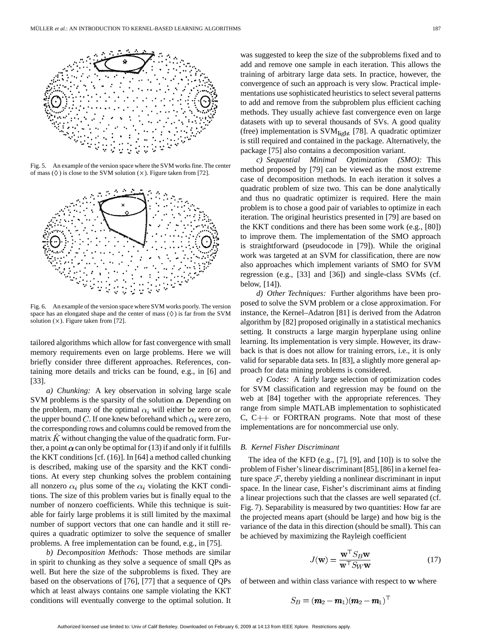

Fig. 5. An example of the version space where the SVM works fine. The center of mass  $(\diamondsuit)$  is close to the SVM solution  $(\times)$ . Figure taken from [72].



Fig. 6. An example of the version space where SVM works poorly. The version space has an elongated shape and the center of mass  $(\diamondsuit)$  is far from the SVM solution  $(x)$ . Figure taken from [72].

tailored algorithms which allow for fast convergence with small memory requirements even on large problems. Here we will briefly consider three different approaches. References, containing more details and tricks can be found, e.g., in [6] and [33].

*a) Chunking:* A key observation in solving large scale SVM problems is the sparsity of the solution  $\alpha$ . Depending on the problem, many of the optimal  $\alpha_i$  will either be zero or on the upper bound C. If one knew beforehand which  $\alpha_i$  were zero, the corresponding rows and columns could be removed from the matrix  $K$  without changing the value of the quadratic form. Further, a point  $\alpha$  can only be optimal for (13) if and only if it fulfills the KKT conditions [cf. (16)]. In [64] a method called chunking is described, making use of the sparsity and the KKT conditions. At every step chunking solves the problem containing all nonzero  $\alpha_i$  plus some of the  $\alpha_i$  violating the KKT conditions. The size of this problem varies but is finally equal to the number of nonzero coefficients. While this technique is suitable for fairly large problems it is still limited by the maximal number of support vectors that one can handle and it still requires a quadratic optimizer to solve the sequence of smaller problems. A free implementation can be found, e.g., in [75].

*b) Decomposition Methods:* Those methods are similar in spirit to chunking as they solve a sequence of small QPs as well. But here the size of the subproblems is fixed. They are based on the observations of [76], [77] that a sequence of QPs which at least always contains one sample violating the KKT conditions will eventually converge to the optimal solution. It

was suggested to keep the size of the subproblems fixed and to add and remove one sample in each iteration. This allows the training of arbitrary large data sets. In practice, however, the convergence of such an approach is very slow. Practical implementations use sophisticated heuristics to select several patterns to add and remove from the subproblem plus efficient caching methods. They usually achieve fast convergence even on large datasets with up to several thousands of SVs. A good quality (free) implementation is  $SVM<sub>light</sub>$  [78]. A quadratic optimizer is still required and contained in the package. Alternatively, the package [75] also contains a decomposition variant.

*c) Sequential Minimal Optimization (SMO):* This method proposed by [79] can be viewed as the most extreme case of decomposition methods. In each iteration it solves a quadratic problem of size two. This can be done analytically and thus no quadratic optimizer is required. Here the main problem is to chose a good pair of variables to optimize in each iteration. The original heuristics presented in [79] are based on the KKT conditions and there has been some work (e.g., [80]) to improve them. The implementation of the SMO approach is straightforward (pseudocode in [79]). While the original work was targeted at an SVM for classification, there are now also approaches which implement variants of SMO for SVM regression (e.g., [33] and [36]) and single-class SVMs (cf. below, [14]).

*d) Other Techniques:* Further algorithms have been proposed to solve the SVM problem or a close approximation. For instance, the Kernel–Adatron [81] is derived from the Adatron algorithm by [82] proposed originally in a statistical mechanics setting. It constructs a large margin hyperplane using online learning. Its implementation is very simple. However, its drawback is that is does not allow for training errors, i.e., it is only valid for separable data sets. In [83], a slightly more general approach for data mining problems is considered.

*e) Codes:* A fairly large selection of optimization codes for SVM classification and regression may be found on the web at [84] together with the appropriate references. They range from simple MATLAB implementation to sophisticated  $C, C++$  or FORTRAN programs. Note that most of these implementations are for noncommercial use only.

#### *B. Kernel Fisher Discriminant*

The idea of the KFD (e.g., [7], [9], and [10]) is to solve the problem of Fisher's linear discriminant [85], [86] in a kernel feature space  $\mathcal F$ , thereby yielding a nonlinear discriminant in input space. In the linear case, Fisher's discriminant aims at finding a linear projections such that the classes are well separated (cf. Fig. 7). Separability is measured by two quantities: How far are the projected means apart (should be large) and how big is the variance of the data in this direction (should be small). This can be achieved by maximizing the Rayleigh coefficient

$$
J(\mathbf{w}) = \frac{\mathbf{w}^{\top} S_B \mathbf{w}}{\mathbf{w}^{\top} S_W \mathbf{w}} \tag{17}
$$

of between and within class variance with respect to  $w$  where

$$
S_B = (\mathbf{m}_2 - \mathbf{m}_1)(\mathbf{m}_2 - \mathbf{m}_1)^\top
$$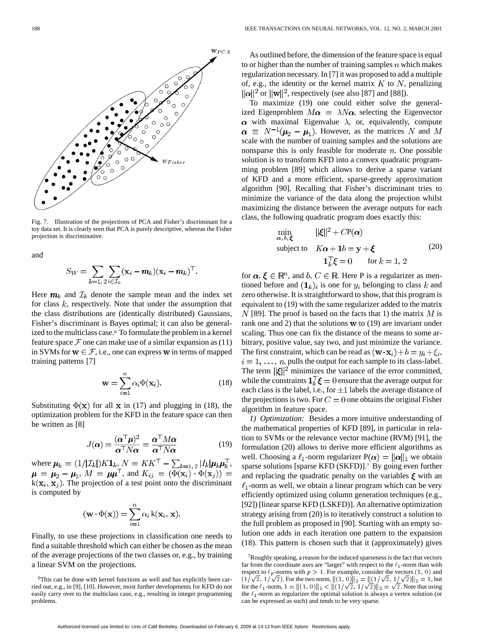

Fig. 7. Illustration of the projections of PCA and Fisher's discriminant for a toy data set. It is clearly seen that PCA is purely descriptive, whereas the Fisher projection is discriminative.

and

$$
S_W = \sum_{k=1,2} \sum_{i \in \mathcal{I}_k} (\mathbf{x}_i - \mathbf{m}_k)(\mathbf{x}_i - \mathbf{m}_k)^{\top}.
$$

Here  $m_k$  and  $\mathcal{I}_k$  denote the sample mean and the index set for class  $k$ , respectively. Note that under the assumption that the class distributions are (identically distributed) Gaussians, Fisher's discriminant is Bayes optimal; it can also be generalized to the multiclass case.6 To formulate the problem in a kernel feature space  $\mathcal F$  one can make use of a similar expansion as (11) in SVMs for  $w \in \mathcal{F}$ , i.e., one can express w in terms of mapped training patterns [7]

$$
\mathbf{w} = \sum_{i=1}^{n} \alpha_i \Phi(\mathbf{x}_i).
$$
 (18)

Substituting  $\Phi(\mathbf{x})$  for all x in (17) and plugging in (18), the optimization problem for the KFD in the feature space can then be written as [8]

$$
J(\alpha) = \frac{(\alpha^{\top} \mu)^2}{\alpha^{\top} N \alpha} = \frac{\alpha^{\top} M \alpha}{\alpha^{\top} N \alpha}
$$
 (19)

where  $\mu_k = (1/|\mathcal{I}_k|)K\mathbf{1}_k, N = KK^{\top} - \sum_{k=1,2} |I_k|\mu_k\mu_k^{\top},$ ,  $M = \mu \mu^+$ , and  $k(\mathbf{x}_i, \mathbf{x}_j)$ . The projection of a test point onto the discriminant is computed by

$$
(\mathbf{w} \cdot \Phi(\mathbf{x})) = \sum_{i=1}^{n} \alpha_i \mathbf{k}(\mathbf{x}_i, \mathbf{x}).
$$

Finally, to use these projections in classification one needs to find a suitable threshold which can either be chosen as the mean of the average projections of the two classes or, e.g., by training a linear SVM on the projections.

6This can be done with kernel functions as well and has explicitly been carried out, e.g., in [9], [10]. However, most further developments for KFD do not easily carry over to the multiclass case, e.g., resulting in integer programming problems.

As outlined before, the dimension of the feature space is equal to or higher than the number of training samples  $n$  which makes regularization necessary. In [7] it was proposed to add a multiple of, e.g., the identity or the kernel matrix  $K$  to  $N$ , penalizing  $\|\alpha\|^2$  or  $\|\mathbf{w}\|^2$ , respectively (see also [87] and [88]).

To maximize (19) one could either solve the generalized Eigenproblem  $M\alpha = \lambda N\alpha$ , selecting the Eigenvector  $\alpha$  with maximal Eigenvalue  $\lambda$ , or, equivalently, compute  $\alpha \equiv N^{-1}(\mu_2 - \mu_1)$ . However, as the matrices N and M scale with the number of training samples and the solutions are nonsparse this is only feasible for moderate  $n$ . One possible solution is to transform KFD into a convex quadratic programming problem [89] which allows to derive a sparse variant of KFD and a more efficient, sparse-greedy approximation algorithm [90]. Recalling that Fisher's discriminant tries to minimize the variance of the data along the projection whilst maximizing the distance between the average outputs for each class, the following quadratic program does exactly this:

$$
\min_{\mathbf{\alpha}, b, \xi} \qquad ||\xi||^2 + CP(\mathbf{\alpha})
$$
\n
$$
\text{subject to} \quad K\mathbf{\alpha} + \mathbf{1}b = \mathbf{y} + \xi \tag{20}
$$
\n
$$
\mathbf{1}_k^\top \xi = 0 \qquad \text{for } k = 1, 2
$$

for  $\alpha, \xi \in \mathbb{R}^n$ , and  $b, C \in \mathbb{R}$ . Here P is a regularizer as mentioned before and  $(1_k)_i$  is one for  $y_i$  belonging to class k and zero otherwise. It is straightforward to show, that this program is equivalent to (19) with the same regularizer added to the matrix N [89]. The proof is based on the facts that 1) the matrix  $M$  is rank one and 2) that the solutions  $w$  to (19) are invariant under scaling. Thus one can fix the distance of the means to some arbitrary, positive value, say two, and just minimize the variance. The first constraint, which can be read as  $(\mathbf{w} \cdot \mathbf{x}_i) + b = y_i + \xi_i$ ,  $i = 1, \ldots, n$ , pulls the output for each sample to its class-label. The term  $\|\xi\|^2$  minimizes the variance of the error committed, while the constraints  $\mathbf{1}_k^{\top} \boldsymbol{\xi} = 0$  ensure that the average output for each class is the label, i.e., for  $\pm 1$  labels the average distance of the projections is two. For  $C = 0$  one obtains the original Fisher algorithm in feature space.

*1) Optimization:* Besides a more intuitive understanding of the mathematical properties of KFD [89], in particular in relation to SVMs or the relevance vector machine (RVM) [91], the formulation (20) allows to derive more efficient algorithms as well. Choosing a  $\ell_1$ -norm regularizer  $P(\alpha) = ||\alpha||_1$  we obtain sparse solutions [sparse KFD (SKFD)].7 By going even further and replacing the quadratic penalty on the variables  $\xi$  with an  $\ell_1$ -norm as well, we obtain a linear program which can be very efficiently optimized using column generation techniques (e.g., [92]) [linear sparse KFD (LSKFD)]. An alternative optimization strategy arising from (20) is to iteratively construct a solution to the full problem as proposed in [90]. Starting with an empty solution one adds in each iteration one pattern to the expansion (18). This pattern is chosen such that it (approximately) gives

<sup>7</sup>Roughly speaking, a reason for the induced sparseness is the fact that vectors far from the coordinate axes are "larger" with respect to the  $\ell_1$ -norm than with respect to  $\ell_p$ -norms with  $p > 1$ . For example, consider the vectors  $(1, 0)$  and  $(1/\sqrt{2}, 1/\sqrt{2})$ . For the two norm,  $||(1, 0)||_2 = ||(1/\sqrt{2}, 1/\sqrt{2})||_2 = 1$ , but for the  $\ell_1$ -norm,  $1 = ||(1, 0)||_1 < ||(1/\sqrt{2}, 1/\sqrt{2})||_2 = \sqrt{2}$ . Note that using the  $\ell_1$ -norm as regularizer the optimal solution is always a vertex solution (or can be expressed as such) and tends to be very sparse.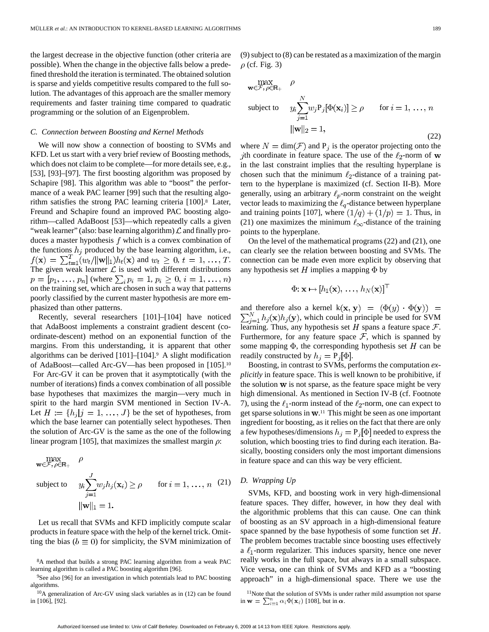the largest decrease in the objective function (other criteria are possible). When the change in the objective falls below a predefined threshold the iteration is terminated. The obtained solution is sparse and yields competitive results compared to the full solution. The advantages of this approach are the smaller memory requirements and faster training time compared to quadratic programming or the solution of an Eigenproblem.

#### *C. Connection between Boosting and Kernel Methods*

We will now show a connection of boosting to SVMs and KFD. Let us start with a very brief review of Boosting methods, which does not claim to be complete—for more details see, e.g., [53], [93]–[97]. The first boosting algorithm was proposed by Schapire [98]. This algorithm was able to "boost" the performance of a weak PAC learner [99] such that the resulting algorithm satisfies the strong PAC learning criteria [100].8 Later, Freund and Schapire found an improved PAC boosting algorithm—called AdaBoost [53]—which repeatedly calls a given "weak learner" (also: base learning algorithm)  $\mathcal L$  and finally produces a master hypothesis  $f$  which is a convex combination of the functions  $h_j$  produced by the base learning algorithm, i.e., and  $w_t \geq 0, t = 1, ..., T$ . The given weak learner  $\mathcal L$  is used with different distributions  $p = [p_1, \ldots, p_n]$  (where  $\sum_i p_i = 1, p_i \geq 0, i = 1, \ldots, n$ ) on the training set, which are chosen in such a way that patterns poorly classified by the current master hypothesis are more emphasized than other patterns.

Recently, several researchers [101]–[104] have noticed that AdaBoost implements a constraint gradient descent (coordinate-descent) method on an exponential function of the margins. From this understanding, it is apparent that other algorithms can be derived  $[101]$ – $[104]$ .<sup>9</sup> A slight modification of AdaBoost—called Arc-GV—has been proposed in [105].10 For Arc-GV it can be proven that it asymptotically (with the number of iterations) finds a convex combination of all possible base hypotheses that maximizes the margin—very much in spirit to the hard margin SVM mentioned in Section IV-A. Let  $H := \{h_i | j = 1, \ldots, J\}$  be the set of hypotheses, from which the base learner can potentially select hypotheses. Then the solution of Arc-GV is the same as the one of the following linear program [105], that maximizes the smallest margin  $\rho$ :

$$
\max_{\mathbf{w} \in \mathcal{F}, \rho \in \mathbb{R}_+} \rho
$$
\nsubject to\n
$$
y_i \sum_{j=1}^J w_j h_j(\mathbf{x}_i) \ge \rho \quad \text{for } i = 1, \dots, n \quad (21)
$$
\n
$$
\|\mathbf{w}\|_1 = 1.
$$

Let us recall that SVMs and KFD implicitly compute scalar products in feature space with the help of the kernel trick. Omitting the bias ( $b \equiv 0$ ) for simplicity, the SVM minimization of (9) subject to (8) can be restated as a maximization of the margin  $\rho$  (cf. Fig. 3)

$$
\max_{\mathbf{w} \in \mathcal{F}, \rho \in \mathbb{R}_+} \rho
$$
\nsubject to\n
$$
y_i \sum_{j=1}^N w_j P_j[\Phi(\mathbf{x}_i)] \ge \rho \quad \text{for } i = 1, ..., n
$$
\n
$$
\|\mathbf{w}\|_2 = 1,
$$
\n(22)

where  $N = \dim(\mathcal{F})$  and P<sub>i</sub> is the operator projecting onto the *i*th coordinate in feature space. The use of the  $\ell_2$ -norm of w in the last constraint implies that the resulting hyperplane is chosen such that the minimum  $\ell_2$ -distance of a training pattern to the hyperplane is maximized (cf. Section II-B). More generally, using an arbitrary  $\ell_p$ -norm constraint on the weight vector leads to maximizing the  $\ell_q$ -distance between hyperplane and training points [107], where  $(1/q) + (1/p) = 1$ . Thus, in (21) one maximizes the minimum  $\ell_{\infty}$ -distance of the training points to the hyperplane.

On the level of the mathematical programs (22) and (21), one can clearly see the relation between boosting and SVMs. The connection can be made even more explicit by observing that any hypothesis set H implies a mapping  $\Phi$  by

$$
\Phi: \mathbf{x} \mapsto [h_1(\mathbf{x}), \ldots, h_N(\mathbf{x})]^\top
$$

and therefore also a kernel  $k(x, y) = (\Phi(y) \cdot \Phi(y)) =$  $\sum_{j=1}^{N} h_j(\mathbf{x}) h_j(\mathbf{y})$ , which could in principle be used for SVM learning. Thus, any hypothesis set  $H$  spans a feature space  $\mathcal{F}$ . Furthermore, for any feature space  $\mathcal{F}$ , which is spanned by some mapping  $\Phi$ , the corresponding hypothesis set H can be readily constructed by  $h_j = P_j[\Phi]$ .

Boosting, in contrast to SVMs, performs the computation *explicitly* in feature space. This is well known to be prohibitive, if the solution  $w$  is not sparse, as the feature space might be very high dimensional. As mentioned in Section IV-B (cf. Footnote 7), using the  $\ell_1$ -norm instead of the  $\ell_2$ -norm, one can expect to get sparse solutions in  $w$ .<sup>11</sup> This might be seen as one important ingredient for boosting, as it relies on the fact that there are only a few hypotheses/dimensions  $h_j = P_j[\Phi]$  needed to express the solution, which boosting tries to find during each iteration. Basically, boosting considers only the most important dimensions in feature space and can this way be very efficient.

#### *D. Wrapping Up*

SVMs, KFD, and boosting work in very high-dimensional feature spaces. They differ, however, in how they deal with the algorithmic problems that this can cause. One can think of boosting as an SV approach in a high-dimensional feature space spanned by the base hypothesis of some function set  $H$ . The problem becomes tractable since boosting uses effectively a  $\ell_1$ -norm regularizer. This induces sparsity, hence one never really works in the full space, but always in a small subspace. Vice versa, one can think of SVMs and KFD as a "boosting approach" in a high-dimensional space. There we use the

<sup>8</sup>A method that builds a strong PAC learning algorithm from a weak PAC learning algorithm is called a PAC boosting algorithm [96].

<sup>&</sup>lt;sup>9</sup>See also [96] for an investigation in which potentials lead to PAC boosting algorithms.

<sup>10</sup>A generalization of Arc-GV using slack variables as in (12) can be found in [106], [92].

<sup>&</sup>lt;sup>11</sup>Note that the solution of SVMs is under rather mild assumption not sparse in  $\mathbf{w} = \sum_{i=1}^{n} \alpha_i \Phi(\mathbf{x}_i)$  [108], but in  $\boldsymbol{\alpha}$ .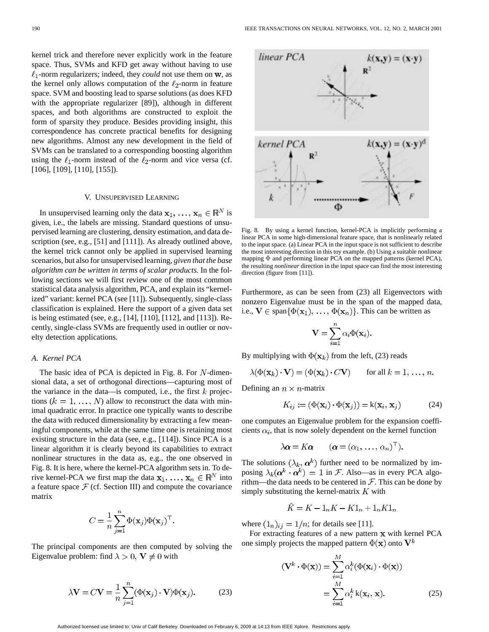kernel trick and therefore never explicitly work in the feature space. Thus, SVMs and KFD get away without having to use  $\ell_1$ -norm regularizers; indeed, they *could* not use them on w, as the kernel only allows computation of the  $\ell_2$ -norm in feature space. SVM and boosting lead to sparse solutions (as does KFD with the appropriate regularizer [89]), although in different spaces, and both algorithms are constructed to exploit the form of sparsity they produce. Besides providing insight, this correspondence has concrete practical benefits for designing new algorithms. Almost any new development in the field of SVMs can be translated to a corresponding boosting algorithm using the  $\ell_1$ -norm instead of the  $\ell_2$ -norm and vice versa (cf. [106], [109], [110], [155]).

## V. UNSUPERVISED LEARNING

In unsupervised learning only the data  $x_1, \ldots, x_n \in \mathbb{R}^N$  is given, i.e., the labels are missing. Standard questions of unsupervised learning are clustering, density estimation, and data description (see, e.g., [51] and [111]). As already outlined above, the kernel trick cannot only be applied in supervised learning scenarios, but also for unsupervised learning, *given that the base algorithm can be written in terms of scalar products.* In the following sections we will first review one of the most common statistical data analysis algorithm, PCA, and explain its "kernelized" variant: kernel PCA (see [11]). Subsequently, single-class classification is explained. Here the support of a given data set is being estimated (see, e.g., [14], [110], [112], and [113]). Recently, single-class SVMs are frequently used in outlier or novelty detection applications.

# *A. Kernel PCA*

The basic idea of PCA is depicted in Fig. 8. For  $N$ -dimensional data, a set of orthogonal directions—capturing most of the variance in the data—is computed, i.e., the first  $k$  projections  $(k = 1, ..., N)$  allow to reconstruct the data with minimal quadratic error. In practice one typically wants to describe the data with reduced dimensionality by extracting a few meaningful components, while at the same time one is retaining most existing structure in the data (see, e.g., [114]). Since PCA is a linear algorithm it is clearly beyond its capabilities to extract nonlinear structures in the data as, e.g., the one observed in Fig. 8. It is here, where the kernel-PCA algorithm sets in. To derive kernel-PCA we first map the data  $x_1, \ldots, x_n \in \mathbb{R}^N$  into a feature space  $\mathcal F$  (cf. Section III) and compute the covariance matrix

$$
C = \frac{1}{n} \sum_{j=1}^{n} \Phi(\mathbf{x}_j) \Phi(\mathbf{x}_j)^{\top}.
$$

The principal components are then computed by solving the Eigenvalue problem: find  $\lambda > 0$ ,  $V \neq 0$  with

$$
\lambda \mathbf{V} = C\mathbf{V} = \frac{1}{n} \sum_{j=1}^{n} (\Phi(\mathbf{x}_j) \cdot \mathbf{V}) \Phi(\mathbf{x}_j).
$$
 (23)



Fig. 8. By using a kernel function, kernel-PCA is implicitly performing a linear PCA in some high-dimensional feature space, that is nonlinearly related to the input space. (a) Linear PCA in the input space is not sufficient to describe the most interesting direction in this toy example. (b) Using a suitable nonlinear mapping  $\Phi$  and performing linear PCA on the mapped patterns (kernel PCA), the resulting *nonlinear* direction in the input space can find the most interesting direction (figure from [11]).

Furthermore, as can be seen from (23) all Eigenvectors with nonzero Eigenvalue must be in the span of the mapped data, i.e.,  $V \in \text{span} {\Phi(\mathbf{x}_1), \ldots, \Phi(\mathbf{x}_n)}$ . This can be written as

$$
\mathbf{V} = \sum_{i=1}^{n} \alpha_i \Phi(\mathbf{x}_i).
$$

By multiplying with  $\Phi(\mathbf{x}_k)$  from the left, (23) reads

$$
\lambda(\Phi(\mathbf{x}_k) \cdot \mathbf{V}) = (\Phi(\mathbf{x}_k) \cdot C\mathbf{V}) \quad \text{for all } k = 1, \dots, n.
$$

Defining an  $n \times n$ -matrix

$$
K_{ij} := (\Phi(\mathbf{x}_i) \cdot \Phi(\mathbf{x}_j)) = k(\mathbf{x}_i, \mathbf{x}_j)
$$
(24)

one computes an Eigenvalue problem for the expansion coefficients  $\alpha_i$ , that is now solely dependent on the kernel function

$$
\lambda \alpha = K \alpha \qquad (\alpha = (\alpha_1, \ldots, \alpha_n)^\top).
$$

The solutions  $(\lambda_k, \alpha^k)$  further need to be normalized by imposing  $\lambda_k(\alpha^k \cdot \alpha^k) = 1$  in *F*. Also—as in every PCA algorithm—the data needs to be centered in  $\mathcal F$ . This can be done by simply substituting the kernel-matrix  $K$  with

$$
\ddot{K} = K - 1_n K - K1_n + 1_n K1_n
$$

where  $(1_n)_{ij} = 1/n$ ; for details see [11].

For extracting features of a new pattern  $x$  with kernel PCA one simply projects the mapped pattern  $\Phi(\mathbf{x})$  onto  $\mathbf{V}^k$ 

$$
(\mathbf{V}^k \cdot \Phi(\mathbf{x})) = \sum_{i=1}^M \alpha_i^k (\Phi(\mathbf{x}_i) \cdot \Phi(\mathbf{x}))
$$

$$
= \sum_{i=1}^M \alpha_i^k k(\mathbf{x}_i, \mathbf{x}).
$$
(25)

Authorized licensed use limited to: Univ of Calif Berkeley. Downloaded on February 6, 2009 at 14:13 from IEEE Xplore. Restrictions apply.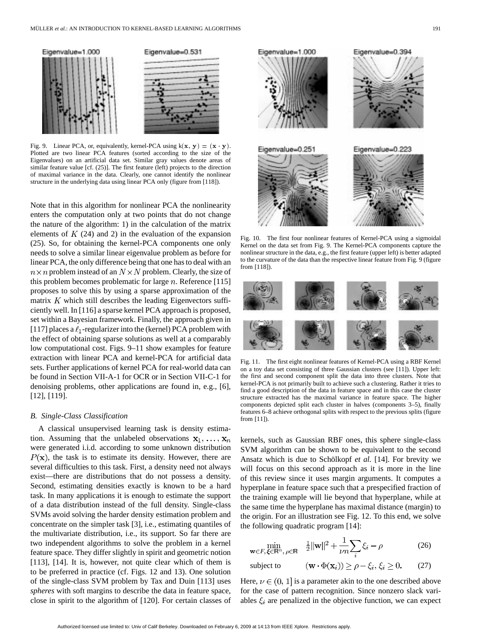

Fig. 9. Linear PCA, or, equivalently, kernel-PCA using  $k(x, y) = (x \cdot y)$ . Plotted are two linear PCA features (sorted according to the size of the Eigenvalues) on an artificial data set. Similar gray values denote areas of similar feature value [cf. (25)]. The first feature (left) projects to the direction of maximal variance in the data. Clearly, one cannot identify the nonlinear structure in the underlying data using linear PCA only (figure from [118]).

Note that in this algorithm for nonlinear PCA the nonlinearity enters the computation only at two points that do not change the nature of the algorithm: 1) in the calculation of the matrix elements of  $K(24)$  and 2) in the evaluation of the expansion (25). So, for obtaining the kernel-PCA components one only needs to solve a similar linear eigenvalue problem as before for linear PCA, the only difference being that one has to deal with an  $n \times n$  problem instead of an  $N \times N$  problem. Clearly, the size of this problem becomes problematic for large  $n$ . Reference [115] proposes to solve this by using a sparse approximation of the matrix  $K$  which still describes the leading Eigenvectors sufficiently well. In [116] a sparse kernel PCA approach is proposed, set within a Bayesian framework. Finally, the approach given in [117] places a  $\ell_1$ -regularizer into the (kernel) PCA problem with the effect of obtaining sparse solutions as well at a comparably low computational cost. Figs. 9–11 show examples for feature extraction with linear PCA and kernel-PCA for artificial data sets. Further applications of kernel PCA for real-world data can be found in Section VII-A-1 for OCR or in Section VII-C-1 for denoising problems, other applications are found in, e.g., [6], [12], [119].

## *B. Single-Class Classification*

A classical unsupervised learning task is density estimation. Assuming that the unlabeled observations  $x_1, \ldots, x_n$ were generated i.i.d. according to some unknown distribution  $P(x)$ , the task is to estimate its density. However, there are several difficulties to this task. First, a density need not always exist—there are distributions that do not possess a density. Second, estimating densities exactly is known to be a hard task. In many applications it is enough to estimate the support of a data distribution instead of the full density. Single-class SVMs avoid solving the harder density estimation problem and concentrate on the simpler task [3], i.e., estimating quantiles of the multivariate distribution, i.e., its support. So far there are two independent algorithms to solve the problem in a kernel feature space. They differ slightly in spirit and geometric notion [113], [14]. It is, however, not quite clear which of them is to be preferred in practice (cf. Figs. 12 and 13). One solution of the single-class SVM problem by Tax and Duin [113] uses *spheres* with soft margins to describe the data in feature space, close in spirit to the algorithm of [120]. For certain classes of



Fig. 10. The first four nonlinear features of Kernel-PCA using a sigmoidal Kernel on the data set from Fig. 9. The Kernel-PCA components capture the nonlinear structure in the data, e.g., the first feature (upper left) is better adapted to the curvature of the data than the respective linear feature from Fig. 9 (figure from [118]).



Fig. 11. The first eight nonlinear features of Kernel-PCA using a RBF Kernel on a toy data set consisting of three Gaussian clusters (see [11]). Upper left: the first and second component split the data into three clusters. Note that kernel-PCA is not primarily built to achieve such a clustering. Rather it tries to find a good description of the data in feature space and in this case the cluster structure extracted has the maximal variance in feature space. The higher components depicted split each cluster in halves (components 3–5), finally features 6–8 achieve orthogonal splits with respect to the previous splits (figure from [11]).

kernels, such as Gaussian RBF ones, this sphere single-class SVM algorithm can be shown to be equivalent to the second Ansatz which is due to Schölkopf *et al.* [14]. For brevity we will focus on this second approach as it is more in the line of this review since it uses margin arguments. It computes a hyperplane in feature space such that a prespecified fraction of the training example will lie beyond that hyperplane, while at the same time the hyperplane has maximal distance (margin) to the origin. For an illustration see Fig. 12. To this end, we solve the following quadratic program [14]:

$$
\min_{\mathbf{w}\in F, \xi\in\mathbb{R}^n, \rho\in\mathbb{R}} \quad \frac{1}{2}||\mathbf{w}||^2 + \frac{1}{\nu n}\sum_{i} \xi_i - \rho \tag{26}
$$

subject to 
$$
(\mathbf{w} \cdot \Phi(\mathbf{x}_i)) \ge \rho - \xi_i, \, \xi_i \ge 0. \tag{27}
$$

Here,  $\nu \in (0, 1]$  is a parameter akin to the one described above for the case of pattern recognition. Since nonzero slack variables  $\xi_i$  are penalized in the objective function, we can expect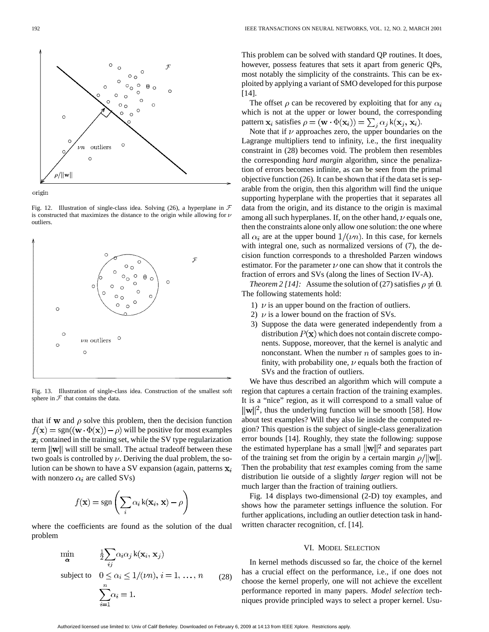



Fig. 12. Illustration of single-class idea. Solving (26), a hyperplane in  $F$ is constructed that maximizes the distance to the origin while allowing for  $\nu$ outliers.



Fig. 13. Illustration of single-class idea. Construction of the smallest soft sphere in  $F$  that contains the data.

that if w and  $\rho$  solve this problem, then the decision function  $f(\mathbf{x}) = \text{sgn}((\mathbf{w} \cdot \Phi(\mathbf{x})) - \rho)$  will be positive for most examples  $x_i$  contained in the training set, while the SV type regularization term  $\|\mathbf{w}\|$  will still be small. The actual tradeoff between these two goals is controlled by  $\nu$ . Deriving the dual problem, the solution can be shown to have a SV expansion (again, patterns  $x_i$ ) with nonzero  $\alpha_i$  are called SVs)

$$
f(\mathbf{x}) = \text{sgn}\left(\sum_{i} \alpha_i \mathbf{k}(\mathbf{x}_i, \mathbf{x}) - \rho\right)
$$

where the coefficients are found as the solution of the dual problem

$$
\min_{\alpha} \qquad \frac{1}{2} \sum_{ij} \alpha_i \alpha_j \mathbf{k}(\mathbf{x}_i, \mathbf{x}_j)
$$
\n
$$
\text{subject to} \quad 0 \le \alpha_i \le 1/(\nu n), \, i = 1, \dots, n \qquad (28)
$$
\n
$$
\sum_{i=1}^{n} \alpha_i = 1.
$$

This problem can be solved with standard QP routines. It does, however, possess features that sets it apart from generic QPs, most notably the simplicity of the constraints. This can be exploited by applying a variant of SMO developed for this purpose [14].

The offset  $\rho$  can be recovered by exploiting that for any  $\alpha_i$ which is not at the upper or lower bound, the corresponding pattern  $\mathbf{x}_i$  satisfies  $\rho = (\mathbf{w} \cdot \Phi(\mathbf{x}_i)) = \sum_i \alpha_j \mathbf{k}(\mathbf{x}_i, \mathbf{x}_i)$ .

Note that if  $\nu$  approaches zero, the upper boundaries on the Lagrange multipliers tend to infinity, i.e., the first inequality constraint in (28) becomes void. The problem then resembles the corresponding *hard margin* algorithm, since the penalization of errors becomes infinite, as can be seen from the primal objective function (26). It can be shown that if the data set is separable from the origin, then this algorithm will find the unique supporting hyperplane with the properties that it separates all data from the origin, and its distance to the origin is maximal among all such hyperplanes. If, on the other hand,  $\nu$  equals one, then the constraints alone only allow one solution: the one where all  $\alpha_i$  are at the upper bound  $1/(\nu n)$ . In this case, for kernels with integral one, such as normalized versions of  $(7)$ , the decision function corresponds to a thresholded Parzen windows estimator. For the parameter  $\nu$  one can show that it controls the fraction of errors and SVs (along the lines of Section IV-A).

*Theorem 2 [14]:* Assume the solution of (27) satisfies  $\rho \neq 0$ . The following statements hold:

- 1)  $\nu$  is an upper bound on the fraction of outliers.
- 2)  $\nu$  is a lower bound on the fraction of SVs.
- 3) Suppose the data were generated independently from a distribution  $P(x)$  which does not contain discrete components. Suppose, moreover, that the kernel is analytic and nonconstant. When the number  $n$  of samples goes to infinity, with probability one,  $\nu$  equals both the fraction of SVs and the fraction of outliers.

We have thus described an algorithm which will compute a region that captures a certain fraction of the training examples. It is a "nice" region, as it will correspond to a small value of  $\|\mathbf{w}\|^2$ , thus the underlying function will be smooth [58]. How about test examples? Will they also lie inside the computed region? This question is the subject of single-class generalization error bounds [14]. Roughly, they state the following: suppose the estimated hyperplane has a small  $\|\mathbf{w}\|^2$  and separates part of the training set from the origin by a certain margin  $\rho/||\mathbf{w}||$ . Then the probability that *test* examples coming from the same distribution lie outside of a slightly *larger* region will not be much larger than the fraction of training outliers.

Fig. 14 displays two-dimensional (2-D) toy examples, and shows how the parameter settings influence the solution. For further applications, including an outlier detection task in handwritten character recognition, cf. [14].

## VI. MODEL SELECTION

In kernel methods discussed so far, the choice of the kernel has a crucial effect on the performance, i.e., if one does not choose the kernel properly, one will not achieve the excellent performance reported in many papers. *Model selection* techniques provide principled ways to select a proper kernel. Usu-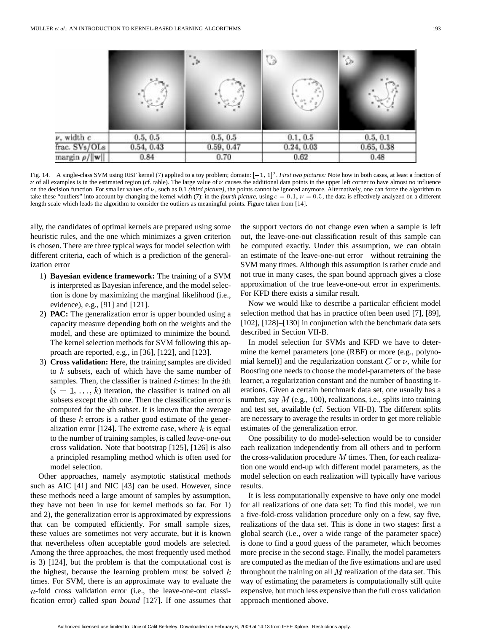

 $\nu$  of all examples is in the estimated region (cf. table). The large value of  $\nu$  causes the additional data points in the upper left corner to have almost no influence on the decision function. For smaller values of  $\nu$ , such as 0.1 *(third picture)*, the points cannot be ignored anymore. Alternatively, one can force the algorithm to take these "outliers" into account by changing the kernel width (7): in the *fourth picture*, using  $c = 0.1$ ,  $\nu = 0.5$ , the data is effectively analyzed on a different length scale which leads the algorithm to consider the outliers as meaningful points. Figure taken from [14].

ally, the candidates of optimal kernels are prepared using some heuristic rules, and the one which minimizes a given criterion is chosen. There are three typical ways for model selection with different criteria, each of which is a prediction of the generalization error

- 1) **Bayesian evidence framework:** The training of a SVM is interpreted as Bayesian inference, and the model selection is done by maximizing the marginal likelihood (i.e., evidence), e.g., [91] and [121].
- 2) **PAC:** The generalization error is upper bounded using a capacity measure depending both on the weights and the model, and these are optimized to minimize the bound. The kernel selection methods for SVM following this approach are reported, e.g., in [36], [122], and [123].
- 3) **Cross validation:** Here, the training samples are divided to  $k$  subsets, each of which have the same number of samples. Then, the classifier is trained  $k$ -times: In the *i*th  $(i = 1, \ldots, k)$  iteration, the classifier is trained on all subsets except the *i*th one. Then the classification error is computed for the *i*th subset. It is known that the average of these  $k$  errors is a rather good estimate of the generalization error [124]. The extreme case, where  $k$  is equal to the number of training samples, is called *leave-one-out* cross validation. Note that bootstrap [125], [126] is also a principled resampling method which is often used for model selection.

Other approaches, namely asymptotic statistical methods such as AIC [41] and NIC [43] can be used. However, since these methods need a large amount of samples by assumption, they have not been in use for kernel methods so far. For 1) and 2), the generalization error is approximated by expressions that can be computed efficiently. For small sample sizes, these values are sometimes not very accurate, but it is known that nevertheless often acceptable good models are selected. Among the three approaches, the most frequently used method is 3) [124], but the problem is that the computational cost is the highest, because the learning problem must be solved  $k$ times. For SVM, there is an approximate way to evaluate the  $n$ -fold cross validation error (i.e., the leave-one-out classification error) called *span bound* [127]. If one assumes that

the support vectors do not change even when a sample is left out, the leave-one-out classification result of this sample can be computed exactly. Under this assumption, we can obtain an estimate of the leave-one-out error—without retraining the SVM many times. Although this assumption is rather crude and not true in many cases, the span bound approach gives a close approximation of the true leave-one-out error in experiments. For KFD there exists a similar result.

Now we would like to describe a particular efficient model selection method that has in practice often been used [7], [89], [102], [128]–[130] in conjunction with the benchmark data sets described in Section VII-B.

In model selection for SVMs and KFD we have to determine the kernel parameters [one (RBF) or more (e.g., polynomial kernel)] and the regularization constant  $C$  or  $\nu$ , while for Boosting one needs to choose the model-parameters of the base learner, a regularization constant and the number of boosting iterations. Given a certain benchmark data set, one usually has a number, say  $M$  (e.g., 100), realizations, i.e., splits into training and test set, available (cf. Section VII-B). The different splits are necessary to average the results in order to get more reliable estimates of the generalization error.

One possibility to do model-selection would be to consider each realization independently from all others and to perform the cross-validation procedure  $M$  times. Then, for each realization one would end-up with different model parameters, as the model selection on each realization will typically have various results.

It is less computationally expensive to have only one model for all realizations of one data set: To find this model, we run a five-fold-cross validation procedure only on a few, say five, realizations of the data set. This is done in two stages: first a global search (i.e., over a wide range of the parameter space) is done to find a good guess of the parameter, which becomes more precise in the second stage. Finally, the model parameters are computed as the median of the five estimations and are used throughout the training on all  $M$  realization of the data set. This way of estimating the parameters is computationally still quite expensive, but much less expensive than the full cross validation approach mentioned above.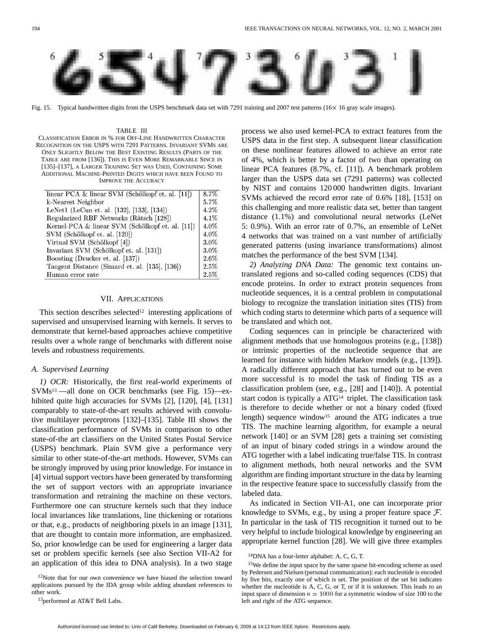

Fig. 15. Typical handwritten digits from the USPS benchmark data set with 7291 training and 2007 test patterns (16 x 16 gray scale images).

#### TABLE III CLASSIFICATION ERROR IN % FOR OFF-LINE HANDWRITTEN CHARACTER RECOGNITION ON THE USPS WITH 7291 PATTERNS. INVARIANT SVMS ARE ONLY SLIGHTLY BELOW THE BEST EXISTING RESULTS (PARTS OF THE TABLE ARE FROM [136]). THIS IS EVEN MORE REMARKABLE SINCE IN [135]–[137], A LARGER TRAINING SET WAS USED, CONTAINING SOME ADDITIONAL MACHINE-PRINTED DIGITS WHICH HAVE BEEN FOUND TO IMPROVE THE ACCURACY

| linear PCA & linear SVM (Schölkopf et. al. [11]) | 8.7% |
|--------------------------------------------------|------|
| k-Nearest Neighbor                               | 5.7% |
| LeNet1 (LeCun et. al. [132], [133], [134])       | 4.2% |
| Regularized RBF Networks (Rätsch [128])          | 4.1% |
| Kernel-PCA & linear SVM (Schölkopf et. al. [11]) | 4.0% |
| SVM (Schölkopf et. al. [120])                    | 4.0% |
| Virtual SVM (Schölkopf [4])                      | 3.0% |
| Invariant SVM (Schölkopf et. al. [131])          | 3.0% |
| Boosting (Drucker et. al. [137])                 | 2.6% |
| Tangent Distance (Simard et. al. [135], [136])   | 2.5% |
| Human error rate                                 | 2.5% |

#### VII. APPLICATIONS

This section describes selected<sup>12</sup> interesting applications of supervised and unsupervised learning with kernels. It serves to demonstrate that kernel-based approaches achieve competitive results over a whole range of benchmarks with different noise levels and robustness requirements.

## *A. Supervised Learning*

*1) OCR:* Historically, the first real-world experiments of  $SVMs<sup>13</sup>$ —all done on OCR benchmarks (see Fig. 15)—exhibited quite high accuracies for SVMs [2], [120], [4], [131] comparably to state-of-the-art results achieved with convolutive multilayer perceptrons [132]–[135]. Table III shows the classification performance of SVMs in comparison to other state-of-the art classifiers on the United States Postal Service (USPS) benchmark. Plain SVM give a performance very similar to other state-of-the-art methods. However, SVMs can be strongly improved by using prior knowledge. For instance in [4] virtual support vectors have been generated by transforming the set of support vectors with an appropriate invariance transformation and retraining the machine on these vectors. Furthermore one can structure kernels such that they induce local invariances like translations, line thickening or rotations or that, e.g., products of neighboring pixels in an image [131], that are thought to contain more information, are emphasized. So, prior knowledge can be used for engineering a larger data set or problem specific kernels (see also Section VII-A2 for an application of this idea to DNA analysis). In a two stage process we also used kernel-PCA to extract features from the USPS data in the first step. A subsequent linear classification on these nonlinear features allowed to achieve an error rate of 4%, which is better by a factor of two than operating on linear PCA features (8.7%, cf. [11]). A benchmark problem larger than the USPS data set (7291 patterns) was collected by NIST and contains 120 000 handwritten digits. Invariant SVMs achieved the record error rate of 0.6% [18], [153] on this challenging and more realistic data set, better than tangent distance (1.1%) and convolutional neural networks (LeNet 5: 0.9%). With an error rate of 0.7%, an ensemble of LeNet 4 networks that was trained on a vast number of artificially generated patterns (using invariance transformations) almost matches the performance of the best SVM [134].

*2) Analyzing DNA Data:* The genomic text contains untranslated regions and so-called coding sequences (CDS) that encode proteins. In order to extract protein sequences from nucleotide sequences, it is a central problem in computational biology to recognize the translation initiation sites (TIS) from which coding starts to determine which parts of a sequence will be translated and which not.

Coding sequences can in principle be characterized with alignment methods that use homologous proteins (e.g., [138]) or intrinsic properties of the nucleotide sequence that are learned for instance with hidden Markov models (e.g., [139]). A radically different approach that has turned out to be even more successful is to model the task of finding TIS as a classification problem (see, e.g., [28] and [140]). A potential start codon is typically a ATG14 triplet. The classification task is therefore to decide whether or not a binary coded (fixed length) sequence window15 around the ATG indicates a true TIS. The machine learning algorithm, for example a neural network [140] or an SVM [28] gets a training set consisting of an input of binary coded strings in a window around the ATG together with a label indicating true/false TIS. In contrast to alignment methods, both neural networks and the SVM algorithm are finding important structure in the data by learning in the respective feature space to successfully classify from the labeled data.

As indicated in Section VII-A1, one can incorporate prior knowledge to SVMs, e.g., by using a proper feature space  $\mathcal{F}$ . In particular in the task of TIS recognition it turned out to be very helpful to include biological knowledge by engineering an appropriate kernel function [28]. We will give three examples

<sup>12</sup>Note that for our own convenience we have biased the selection toward applications pursued by the IDA group while adding abundant references to other work.

<sup>13</sup>performed at AT&T Bell Labs.

<sup>14</sup>DNA has a four-letter alphabet: A, C, G, T.

<sup>&</sup>lt;sup>15</sup>We define the input space by the same sparse bit-encoding scheme as used by Pedersen and Nielsen (personal communication): each nucleotide is encoded by five bits, exactly one of which is set. The position of the set bit indicates whether the nucleotide is A, C, G, or T, or if it is unknown. This leads to an input space of dimension  $n = 1000$  for a symmetric window of size 100 to the left and right of the ATG sequence.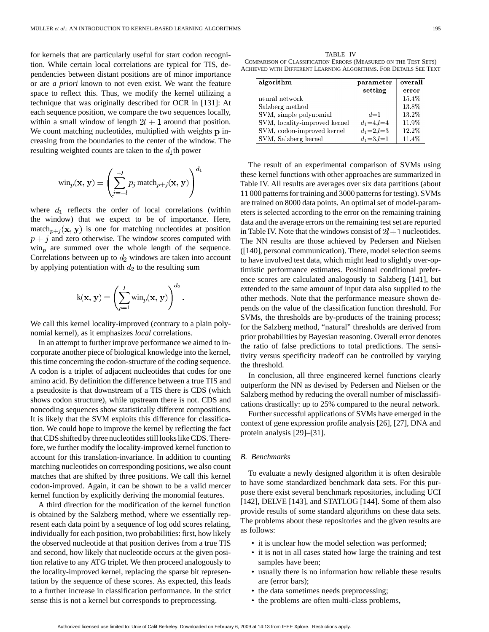for kernels that are particularly useful for start codon recognition. While certain local correlations are typical for TIS, dependencies between distant positions are of minor importance or are *a priori* known to not even exist. We want the feature space to reflect this. Thus, we modify the kernel utilizing a technique that was originally described for OCR in [131]: At each sequence position, we compare the two sequences locally, within a small window of length  $2l + 1$  around that position. We count matching nucleotides, multiplied with weights p increasing from the boundaries to the center of the window. The resulting weighted counts are taken to the  $d_1$ th power

$$
\text{win}_p(\mathbf{x}, \mathbf{y}) = \left(\sum_{j=-l}^{+l} p_j \text{ match}_{p+j}(\mathbf{x}, \mathbf{y})\right)^{d_1}
$$

where  $d_1$  reflects the order of local correlations (within the window) that we expect to be of importance. Here, match $_{p+1}(\mathbf{x}, \mathbf{y})$  is one for matching nucleotides at position  $p + j$  and zero otherwise. The window scores computed with  $\sin_p$  are summed over the whole length of the sequence. Correlations between up to  $d_2$  windows are taken into account by applying potentiation with  $d_2$  to the resulting sum

$$
k(\mathbf{x}, \mathbf{y}) = \left(\sum_{p=1}^{l} \min_{p}(\mathbf{x}, \mathbf{y})\right)^{d_2}.
$$

We call this kernel locality-improved (contrary to a plain polynomial kernel), as it emphasizes *local* correlations.

In an attempt to further improve performance we aimed to incorporate another piece of biological knowledge into the kernel, this time concerning the codon-structure of the coding sequence. A codon is a triplet of adjacent nucleotides that codes for one amino acid. By definition the difference between a true TIS and a pseudosite is that downstream of a TIS there is CDS (which shows codon structure), while upstream there is not. CDS and noncoding sequences show statistically different compositions. It is likely that the SVM exploits this difference for classification. We could hope to improve the kernel by reflecting the fact that CDS shifted by three nucleotides still looks like CDS. Therefore, we further modify the locality-improved kernel function to account for this translation-invariance. In addition to counting matching nucleotides on corresponding positions, we also count matches that are shifted by three positions. We call this kernel codon-improved. Again, it can be shown to be a valid mercer kernel function by explicitly deriving the monomial features.

A third direction for the modification of the kernel function is obtained by the Salzberg method, where we essentially represent each data point by a sequence of log odd scores relating, individually for each position, two probabilities: first, how likely the observed nucleotide at that position derives from a true TIS and second, how likely that nucleotide occurs at the given position relative to any ATG triplet. We then proceed analogously to the locality-improved kernel, replacing the sparse bit representation by the sequence of these scores. As expected, this leads to a further increase in classification performance. In the strict sense this is not a kernel but corresponds to preprocessing.

TABLE IV COMPARISON OF CLASSIFICATION ERRORS (MEASURED ON THE TEST SETS) ACHIEVED WITH DIFFERENT LEARNING ALGORITHMS. FOR DETAILS SEE TEXT

| algorithm                     | parameter        | overall |
|-------------------------------|------------------|---------|
|                               | setting          | error   |
| neural network                |                  | 15.4%   |
| Salzberg method               |                  | 13.8%   |
| SVM, simple polynomial        | $d=1$            | 13.2%   |
| SVM, locality-improved kernel | $d_1 = 4, l = 4$ | 11.9%   |
| SVM, codon-improved kernel    | $d_1 = 2, l = 3$ | 12.2%   |
| SVM, Salzberg kernel          | $d_1 = 3, l = 1$ | 11.4%   |

The result of an experimental comparison of SVMs using these kernel functions with other approaches are summarized in Table IV. All results are averages over six data partitions (about 11 000 patterns for training and 3000 patterns for testing). SVMs are trained on 8000 data points. An optimal set of model-parameters is selected according to the error on the remaining training data and the average errors on the remaining test set are reported in Table IV. Note that the windows consist of  $2l+1$  nucleotides. The NN results are those achieved by Pedersen and Nielsen ([140], personal communication). There, model selection seems to have involved test data, which might lead to slightly over-optimistic performance estimates. Positional conditional preference scores are calculated analogously to Salzberg [141], but extended to the same amount of input data also supplied to the other methods. Note that the performance measure shown depends on the value of the classification function threshold. For SVMs, the thresholds are by-products of the training process; for the Salzberg method, "natural" thresholds are derived from prior probabilities by Bayesian reasoning. Overall error denotes the ratio of false predictions to total predictions. The sensitivity versus specificity tradeoff can be controlled by varying the threshold.

In conclusion, all three engineered kernel functions clearly outperform the NN as devised by Pedersen and Nielsen or the Salzberg method by reducing the overall number of misclassifications drastically: up to 25% compared to the neural network.

Further successful applications of SVMs have emerged in the context of gene expression profile analysis [26], [27], DNA and protein analysis [29]–[31].

## *B. Benchmarks*

To evaluate a newly designed algorithm it is often desirable to have some standardized benchmark data sets. For this purpose there exist several benchmark repositories, including UCI [142], DELVE [143], and STATLOG [144]. Some of them also provide results of some standard algorithms on these data sets. The problems about these repositories and the given results are as follows:

- it is unclear how the model selection was performed;
- it is not in all cases stated how large the training and test samples have been;
- usually there is no information how reliable these results are (error bars);
- the data sometimes needs preprocessing;
- the problems are often multi-class problems,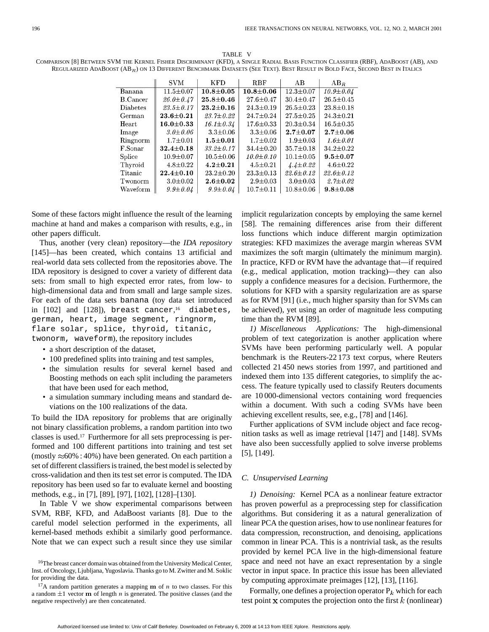| TABLE V                                                                                                                                 |
|-----------------------------------------------------------------------------------------------------------------------------------------|
| COMPARISON [8] BETWEEN SVM THE KERNEL FISHER DISCRIMINANT (KFD), A SINGLE RADIAL BASIS FUNCTION CLASSIFIER (RBF), ADABOOST (AB), AND    |
| REGULARIZED ADABOOST (AB <sub>F</sub> ) ON 13 DIFFERENT BENCHMARK DATASETS (SEE TEXT). BEST RESULT IN BOLD FACE, SECOND BEST IN ITALICS |

|                 | <b>SVM</b>      | <b>KFD</b>      | <b>RBF</b>      | AВ              | $AB_R$          |
|-----------------|-----------------|-----------------|-----------------|-----------------|-----------------|
| Banana          | $11.5 \pm 0.07$ | $10.8 + 0.05$   | $10.8 + 0.06$   | $12.3 \pm 0.07$ | $10.9 \pm 0.04$ |
| <b>B.Cancer</b> | $26.0 \pm 0.47$ | $25.8 \pm 0.46$ | $27.6 \pm 0.47$ | $30.4 \pm 0.47$ | $26.5 \pm 0.45$ |
| <b>Diabetes</b> | $23.5 \pm 0.17$ | $23.2 \pm 0.16$ | $24.3 \pm 0.19$ | $26.5 \pm 0.23$ | $23.8 \pm 0.18$ |
| <b>German</b>   | $23.6 \pm 0.21$ | $23.7 \pm 0.22$ | $24.7 \pm 0.24$ | $27.5 \pm 0.25$ | $24.3 \pm 0.21$ |
| Heart           | $16.0 \pm 0.33$ | $16.1 \pm 0.34$ | $17.6 \pm 0.33$ | $20.3 \pm 0.34$ | $16.5 \pm 0.35$ |
| Image           | $3.0 \pm 0.06$  | $3.3 \pm 0.06$  | $3.3 \pm 0.06$  | $2.7 + 0.07$    | $2.7 \pm 0.06$  |
| Ringnorm        | $1.7 \pm 0.01$  | $1.5 \pm 0.01$  | $1.7 \pm 0.02$  | $1.9 \pm 0.03$  | $1.6 \pm 0.01$  |
| F.Sonar         | $32.4 \pm 0.18$ | $33.2 \pm 0.17$ | $34.4 \pm 0.20$ | $35.7 \pm 0.18$ | $34.2 \pm 0.22$ |
| <b>Splice</b>   | $10.9 \pm 0.07$ | $10.5 \pm 0.06$ | $10.0 \pm 0.10$ | $10.1 \pm 0.05$ | $9.5 \pm 0.07$  |
| Thyroid         | $4.8 \pm 0.22$  | $4.2 \pm 0.21$  | $4.5 \pm 0.21$  | $4.4 \pm 0.22$  | $4.6 \pm 0.22$  |
| Titanic         | $22.4 + 0.10$   | $23.2 + 0.20$   | $23.3 \pm 0.13$ | $22.6 \pm 0.12$ | $22.6 \pm 0.12$ |
| Twonorm         | $3.0 \pm 0.02$  | $2.6 \pm 0.02$  | $2.9 \pm 0.03$  | $3.0 \pm 0.03$  | $2.7 \pm 0.02$  |
| Waveform        | $9.9 \pm 0.04$  | $9.9 \pm 0.04$  | $10.7 \pm 0.11$ | $10.8 + 0.06$   | $9.8 + 0.08$    |

Some of these factors might influence the result of the learning machine at hand and makes a comparison with results, e.g., in other papers difficult.

Thus, another (very clean) repository—the *IDA repository* [145]—has been created, which contains 13 artificial and real-world data sets collected from the repositories above. The IDA repository is designed to cover a variety of different data sets: from small to high expected error rates, from low- to high-dimensional data and from small and large sample sizes. For each of the data sets banana (toy data set introduced in  $[102]$  and  $[128]$ ), breast cancer,<sup>16</sup> diabetes, german, heart, image segment, ringnorm, flare solar, splice, thyroid, titanic, twonorm, waveform), the repository includes

- a short description of the dataset,
- 100 predefined splits into training and test samples,
- the simulation results for several kernel based and Boosting methods on each split including the parameters that have been used for each method,
- a simulation summary including means and standard deviations on the 100 realizations of the data.

To build the IDA repository for problems that are originally not binary classification problems, a random partition into two classes is used.17 Furthermore for all sets preprocessing is performed and 100 different partitions into training and test set (mostly  $\approx 60\%$  : 40%) have been generated. On each partition a set of different classifiers is trained, the best model is selected by cross-validation and then its test set error is computed. The IDA repository has been used so far to evaluate kernel and boosting methods, e.g., in [7], [89], [97], [102], [128]–[130].

In Table V we show experimental comparisons between SVM, RBF, KFD, and AdaBoost variants [8]. Due to the careful model selection performed in the experiments, all kernel-based methods exhibit a similarly good performance. Note that we can expect such a result since they use similar implicit regularization concepts by employing the same kernel [58]. The remaining differences arise from their different loss functions which induce different margin optimization strategies: KFD maximizes the average margin whereas SVM maximizes the soft margin (ultimately the minimum margin). In practice, KFD or RVM have the advantage that—if required (e.g., medical application, motion tracking)—they can also supply a confidence measures for a decision. Furthermore, the solutions for KFD with a sparsity regularization are as sparse as for RVM [91] (i.e., much higher sparsity than for SVMs can be achieved), yet using an order of magnitude less computing time than the RVM [89].

*1) Miscellaneous Applications:* The high-dimensional problem of text categorization is another application where SVMs have been performing particularly well. A popular benchmark is the Reuters-22 173 text corpus, where Reuters collected 21 450 news stories from 1997, and partitioned and indexed them into 135 different categories, to simplify the access. The feature typically used to classify Reuters documents are 10 000-dimensional vectors containing word frequencies within a document. With such a coding SVMs have been achieving excellent results, see, e.g., [78] and [146].

Further applications of SVM include object and face recognition tasks as well as image retrieval [147] and [148]. SVMs have also been successfully applied to solve inverse problems [5], [149].

## *C. Unsupervised Learning*

*1) Denoising:* Kernel PCA as a nonlinear feature extractor has proven powerful as a preprocessing step for classification algorithms. But considering it as a natural generalization of linear PCA the question arises, how to use nonlinear features for data compression, reconstruction, and denoising, applications common in linear PCA. This is a nontrivial task, as the results provided by kernel PCA live in the high-dimensional feature space and need not have an exact representation by a single vector in input space. In practice this issue has been alleviated by computing approximate preimages [12], [13], [116].

Formally, one defines a projection operator  $P_k$  which for each test point  $x$  computes the projection onto the first  $k$  (nonlinear)

<sup>16</sup>The breast cancer domain was obtained from the University Medical Center, Inst. of Oncology, Ljubljana, Yugoslavia. Thanks go to M. Zwitter and M. Soklic for providing the data.

 $17A$  random partition generates a mapping  $m$  of  $n$  to two classes. For this a random  $\pm 1$  vector **m** of length n is generated. The positive classes (and the negative respectively) are then concatenated.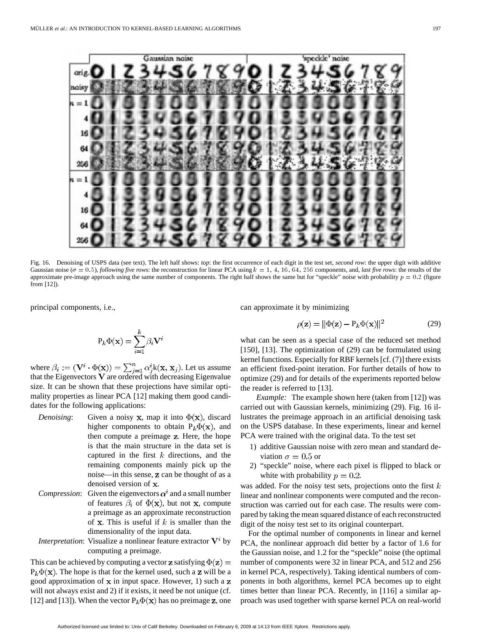

Fig. 16. Denoising of USPS data (see text). The left half shows: *top*: the first occurrence of each digit in the test set, *second row*: the upper digit with additive Gaussian noise ( $\sigma = 0.5$ ), *following five rows*: the reconstruction for linear PCA using  $k = 1, 4, 16, 64, 256$  components, and, *last five rows*: the results of the approximate pre-image approach using the same number of components. The right half shows the same but for "speckle" noise with probability  $p = 0.2$  (figure from [12]).

principal components, i.e.,

$$
P_k \Phi(\mathbf{x}) = \sum_{i=1}^k \beta_i \mathbf{V}^i
$$

where  $\beta_i := (\mathbf{V}^i \cdot \Phi(\mathbf{x})) = \sum_{j=1}^n \alpha_j^i k(\mathbf{x}, \mathbf{x}_j)$ . Let us assume that the Eigenvectors  $V$  are ordered with decreasing Eigenvalue size. It can be shown that these projections have similar optimality properties as linear PCA [12] making them good candidates for the following applications:

- *Denoising*: Given a noisy **x**, map it into  $\Phi(\mathbf{x})$ , discard higher components to obtain  $P_k \Phi(\mathbf{x})$ , and then compute a preimage z. Here, the hope is that the main structure in the data set is captured in the first  $k$  directions, and the remaining components mainly pick up the noise—in this sense, z can be thought of as a denoised version of x.
- *Compression*: Given the eigenvectors  $\alpha^{i}$  and a small number of features  $\beta_i$  of  $\Phi(\mathbf{x})$ , but not **x**, compute a preimage as an approximate reconstruction of  $x$ . This is useful if k is smaller than the dimensionality of the input data.
- *Interpretation*: Visualize a nonlinear feature extractor  $V^i$  by computing a preimage.

This can be achieved by computing a vector **z** satisfying  $\Phi(\mathbf{z}) =$  $P_k \Phi(\mathbf{x})$ . The hope is that for the kernel used, such a **z** will be a good approximation of  $x$  in input space. However, 1) such a  $z$ will not always exist and 2) if it exists, it need be not unique (cf. [12] and [13]). When the vector  $P_k \Phi(\mathbf{x})$  has no preimage z, one

can approximate it by minimizing

$$
\rho(\mathbf{z}) = ||\Phi(\mathbf{z}) - P_k \Phi(\mathbf{x})||^2 \tag{29}
$$

what can be seen as a special case of the reduced set method [150], [13]. The optimization of (29) can be formulated using kernel functions. Especially for RBF kernels [cf. (7)] there exists an efficient fixed-point iteration. For further details of how to optimize (29) and for details of the experiments reported below the reader is referred to [13].

*Example:* The example shown here (taken from [12]) was carried out with Gaussian kernels, minimizing (29). Fig. 16 illustrates the preimage approach in an artificial denoising task on the USPS database. In these experiments, linear and kernel PCA were trained with the original data. To the test set

- 1) additive Gaussian noise with zero mean and standard deviation  $\sigma = 0.5$  or
- 2) "speckle" noise, where each pixel is flipped to black or white with probability  $p = 0.2$ .

was added. For the noisy test sets, projections onto the first  $k$ linear and nonlinear components were computed and the reconstruction was carried out for each case. The results were compared by taking the mean squared distance of each reconstructed digit of the noisy test set to its original counterpart.

For the optimal number of components in linear and kernel PCA, the nonlinear approach did better by a factor of 1.6 for the Gaussian noise, and 1.2 for the "speckle" noise (the optimal number of components were 32 in linear PCA, and 512 and 256 in kernel PCA, respectively). Taking identical numbers of components in both algorithms, kernel PCA becomes up to eight times better than linear PCA. Recently, in [116] a similar approach was used together with sparse kernel PCA on real-world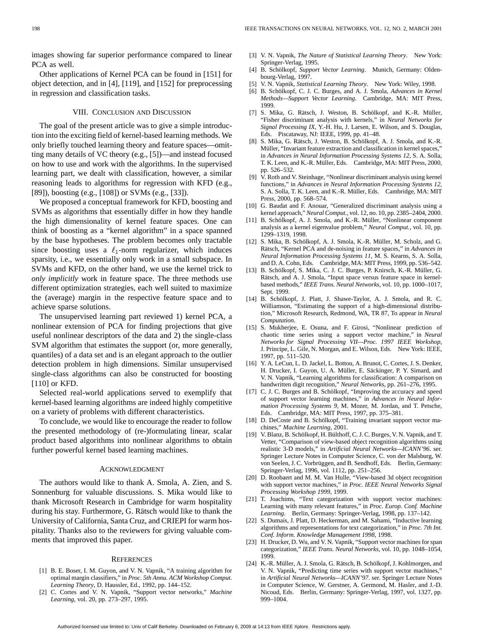images showing far superior performance compared to linear PCA as well.

Other applications of Kernel PCA can be found in [151] for object detection, and in [4], [119], and [152] for preprocessing in regression and classification tasks.

#### VIII. CONCLUSION AND DISCUSSION

The goal of the present article was to give a simple introduction into the exciting field of kernel-based learning methods. We only briefly touched learning theory and feature spaces—omitting many details of VC theory (e.g., [5])—and instead focused on how to use and work with the algorithms. In the supervised learning part, we dealt with classification, however, a similar reasoning leads to algorithms for regression with KFD (e.g., [89]), boosting (e.g., [108]) or SVMs (e.g., [33]).

We proposed a conceptual framework for KFD, boosting and SVMs as algorithms that essentially differ in how they handle the high dimensionality of kernel feature spaces. One can think of boosting as a "kernel algorithm" in a space spanned by the base hypotheses. The problem becomes only tractable since boosting uses a  $\ell_1$ -norm regularizer, which induces sparsity, i.e., we essentially only work in a small subspace. In SVMs and KFD, on the other hand, we use the kernel trick to *only implicitly* work in feature space. The three methods use different optimization strategies, each well suited to maximize the (average) margin in the respective feature space and to achieve sparse solutions.

The unsupervised learning part reviewed 1) kernel PCA, a nonlinear extension of PCA for finding projections that give useful nonlinear descriptors of the data and 2) the single-class SVM algorithm that estimates the support (or, more generally, quantiles) of a data set and is an elegant approach to the outlier detection problem in high dimensions. Similar unsupervised single-class algorithms can also be constructed for boosting [110] or KFD.

Selected real-world applications served to exemplify that kernel-based learning algorithms are indeed highly competitive on a variety of problems with different characteristics.

To conclude, we would like to encourage the reader to follow the presented methodology of (re-)formulating linear, scalar product based algorithms into nonlinear algorithms to obtain further powerful kernel based learning machines.

#### ACKNOWLEDGMENT

The authors would like to thank A. Smola, A. Zien, and S. Sonnenburg for valuable discussions. S. Mika would like to thank Microsoft Research in Cambridge for warm hospitality during his stay. Furthermore, G. Rätsch would like to thank the University of California, Santa Cruz, and CRIEPI for warm hospitality. Thanks also to the reviewers for giving valuable comments that improved this paper.

#### **REFERENCES**

- [1] B. E. Boser, I. M. Guyon, and V. N. Vapnik, "A training algorithm for optimal margin classifiers," in *Proc. 5th Annu. ACM Workshop Comput. Learning Theory*, D. Haussler, Ed., 1992, pp. 144–152.
- [2] C. Cortes and V. N. Vapnik, "Support vector networks," *Machine Learning*, vol. 20, pp. 273–297, 1995.
- [3] V. N. Vapnik, *The Nature of Statistical Learning Theory*. New York: Springer-Verlag, 1995.
- [4] B. Schölkopf, *Support Vector Learning*. Munich, Germany: Oldenbourg-Verlag, 1997.
- [5] V. N. Vapnik, *Statistical Learning Theory*. New York: Wiley, 1998.
- [6] B. Schölkopf, C. J. C. Burges, and A. J. Smola, *Advances in Kernel Methods—Support Vector Learning*. Cambridge, MA: MIT Press, 1999.
- [7] S. Mika, G. Rätsch, J. Weston, B. Schölkopf, and K.-R. Müller, "Fisher discriminant analysis with kernels," in *Neural Networks for Signal Processing IX*, Y.-H. Hu, J. Larsen, E. Wilson, and S. Douglas, Eds. Piscataway, NJ: IEEE, 1999, pp. 41–48.
- [8] S. Mika, G. Rätsch, J. Weston, B. Schölkopf, A. J. Smola, and K.-R. Müller, "Invariant feature extraction and classification in kernel spaces," in *Advances in Neural Information Processing Systems 12*, S. A. Solla, T. K. Leen, and K.-R. Müller, Eds. Cambridge, MA: MIT Press, 2000, pp. 526–532.
- [9] V. Roth and V. Steinhage, "Nonlinear discriminant analysis using kernel functions," in *Advances in Neural Information Processing Systems 12*, S. A. Solla, T. K. Leen, and K.-R. Müller, Eds. Cambridge, MA: MIT Press, 2000, pp. 568–574.
- [10] G. Baudat and F. Anouar, "Generalized discriminant analysis using a kernel approach,"*Neural Comput.*, vol. 12, no. 10, pp. 2385–2404, 2000.
- [11] B. Schölkopf, A. J. Smola, and K.-R. Müller, "Nonlinear component analysis as a kernel eigenvalue problem," *Neural Comput.*, vol. 10, pp. 1299–1319, 1998.
- [12] S. Mika, B. Schölkopf, A. J. Smola, K.-R. Müller, M. Scholz, and G. Rätsch, "Kernel PCA and de-noising in feature spaces," in *Advances in Neural Information Processing Systems 11*, M. S. Kearns, S. A. Solla, and D. A. Cohn, Eds. Cambridge, MA: MIT Press, 1999, pp. 536–542.
- [13] B. Schölkopf, S. Mika, C. J. C. Burges, P. Knirsch, K.-R. Müller, G. Rätsch, and A. J. Smola, "Input space versus feature space in kernelbased methods," *IEEE Trans. Neural Networks*, vol. 10, pp. 1000–1017, Sept. 1999.
- [14] B. Schölkopf, J. Platt, J. Shawe-Taylor, A. J. Smola, and R. C. Williamson, "Estimating the support of a high-dimensional distribution," Microsoft Research, Redmond, WA, TR 87, To appear in *Neural Computation*.
- [15] S. Mukherjee, E. Osuna, and F. Girosi, "Nonlinear prediction of chaotic time series using a support vector machine," in *Neural Networks for Signal Processing VII—Proc. 1997 IEEE Workshop*, J. Principe, L. Gile, N. Morgan, and E. Wilson, Eds. New York: IEEE, 1997, pp. 511–520.
- [16] Y. A. LeCun, L. D. Jackel, L. Bottou, A. Brunot, C. Cortes, J. S. Denker, H. Drucker, I. Guyon, U. A. Müller, E. Säckinger, P. Y. Simard, and V. N. Vapnik, "Learning algorithms for classification: A comparison on handwritten digit recognition," *Neural Networks*, pp. 261–276, 1995.
- [17] C. J. C. Burges and B. Schölkopf, "Improving the accuracy and speed of support vector learning machines," in *Advances in Neural Information Processing Systems 9*, M. Mozer, M. Jordan, and T. Petsche, Eds. Cambridge, MA: MIT Press, 1997, pp. 375–381.
- [18] D. DeCoste and B. Schölkopf, "Training invariant support vector machines," *Machine Learning*, 2001.
- [19] V. Blanz, B. Schölkopf, H. Bülthoff, C. J. C. Burges, V. N. Vapnik, and T. Vetter, "Comparison of view-based object recognition algorithms using realistic 3-D models," in *Artificial Neural Networks—ICANN'96*. ser. Springer Lecture Notes in Computer Science, C. von der Malsburg, W. von Seelen, J. C. Vorbrüggen, and B. Sendhoff, Eds. Berlin, Germany: Springer-Verlag, 1996, vol. 1112, pp. 251–256.
- [20] D. Roobaert and M. M. Van Hulle, "View-based 3d object recognition with support vector machines," in *Proc. IEEE Neural Networks Signal Processing Workshop 1999*, 1999.
- [21] T. Joachims, "Text categorization with support vector machines: Learning with many relevant features," in *Proc. Europ. Conf. Machine Learning*. Berlin, Germany: Springer-Verlag, 1998, pp. 137–142.
- [22] S. Dumais, J. Platt, D. Heckerman, and M. Sahami, "Inductive learning algorithms and representations for text categorization," in *Proc. 7th Int. Conf. Inform. Knowledge Management 1998*, 1998.
- [23] H. Drucker, D. Wu, and V. N. Vapnik, "Support vector machines for span categorization," *IEEE Trans. Neural Networks*, vol. 10, pp. 1048–1054, 1999.
- [24] K.-R. Müller, A. J. Smola, G. Rätsch, B. Schölkopf, J. Kohlmorgen, and V. N. Vapnik, "Predicting time series with support vector machines," in *Artificial Neural Networks—ICANN'97*. ser. Springer Lecture Notes in Computer Science, W. Gerstner, A. Germond, M. Hasler, and J.-D. Nicoud, Eds. Berlin, Germany: Springer-Verlag, 1997, vol. 1327, pp. 999–1004.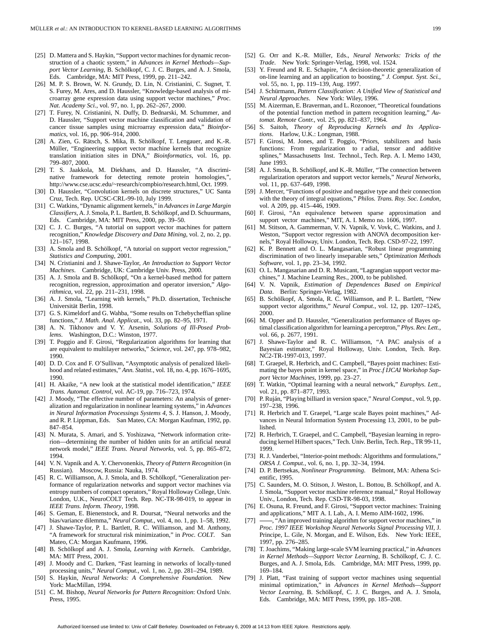- [25] D. Mattera and S. Haykin, "Support vector machines for dynamic reconstruction of a chaotic system," in *Advances in Kernel Methods—Support Vector Learning*, B. Schölkopf, C. J. C. Burges, and A. J. Smola, Eds. Cambridge, MA: MIT Press, 1999, pp. 211–242.
- [26] M. P. S. Brown, W. N. Grundy, D. Lin, N. Cristianini, C. Sugnet, T. S. Furey, M. Ares, and D. Haussler, "Knowledge-based analysis of microarray gene expression data using support vector machines," *Proc. Nat. Academy Sci.*, vol. 97, no. 1, pp. 262–267, 2000.
- [27] T. Furey, N. Cristianini, N. Duffy, D. Bednarski, M. Schummer, and D. Haussler, "Support vector machine classification and validation of cancer tissue samples using microarray expression data," *Bioinformatics*, vol. 16, pp. 906–914, 2000.
- [28] A. Zien, G. Rätsch, S. Mika, B. Schölkopf, T. Lengauer, and K.-R. Müller, "Engineering support vector machine kernels that recognize translation initiation sites in DNA," *Bioinformatics*, vol. 16, pp. 799–807, 2000.
- [29] T. S. Jaakkola, M. Diekhans, and D. Haussler, "A discriminative framework for detecting remote protein homologies,", http://www.cse.ucsc.edu/~research/compbio/research.html, Oct. 1999.
- [30] D. Haussler, "Convolution kernels on discrete structures," UC Santa Cruz, Tech. Rep. UCSC-CRL-99-10, July 1999.
- [31] C. Watkins, "Dynamic alignment kernels," in *Advances in Large Margin Classifiers*, A. J. Smola, P. L. Bartlett, B. Schölkopf, and D. Schuurmans, Eds. Cambridge, MA: MIT Press, 2000, pp. 39–50.
- [32] C. J. C. Burges, "A tutorial on support vector machines for pattern recognition," *Knowledge Discovery and Data Mining*, vol. 2, no. 2, pp. 121–167, 1998.
- [33] A. Smola and B. Schölkopf, "A tutorial on support vector regression," *Statistics and Computing*, 2001.
- [34] N. Cristianini and J. Shawe-Taylor, *An Introduction to Support Vector Machines*. Cambridge, UK: Cambridge Univ. Press, 2000.
- [35] A. J. Smola and B. Schölkopf, "On a kernel-based method for pattern recognition, regression, approximation and operator inversion," *Algorithmica*, vol. 22, pp. 211–231, 1998.
- [36] A. J. Smola, "Learning with kernels," Ph.D. dissertation, Technische Universität Berlin, 1998.
- [37] G. S. Kimeldorf and G. Wahba, "Some results on Tchebycheffian spline functions," *J. Math. Anal. Applicat.*, vol. 33, pp. 82–95, 1971.
- [38] A. N. Tikhonov and V. Y. Arsenin, *Solutions of Ill-Posed Problems*. Washington, D.C.: Winston, 1977.
- [39] T. Poggio and F. Girosi, "Regularization algorithms for learning that are equivalent to multilayer networks," *Science*, vol. 247, pp. 978–982, 1990.
- [40] D. D. Cox and F. O'Sullivan, "Asymptotic analysis of penalized likelihood and related estimates," *Ann. Statist.*, vol. 18, no. 4, pp. 1676–1695, 1990.
- [41] H. Akaike, "A new look at the statistical model identification," *IEEE Trans. Automat. Control*, vol. AC-19, pp. 716–723, 1974.
- [42] J. Moody, "The effective number of parameters: An analysis of generalization and regularization in nonlinear learning systems," in *Advances in Neural Information Processings Systems 4*, S. J. Hanson, J. Moody, and R. P. Lippman, Eds. San Mateo, CA: Morgan Kaufman, 1992, pp. 847–854.
- [43] N. Murata, S. Amari, and S. Yoshizawa, "Network information criterion—determining the number of hidden units for an artificial neural network model," *IEEE Trans. Neural Networks*, vol. 5, pp. 865–872, 1994.
- [44] V. N. Vapnik and A. Y. Chervonenkis, *Theory of Pattern Recognition* (in Russian). Moscow, Russia: Nauka, 1974.
- [45] R. C. Williamson, A. J. Smola, and B. Schölkopf, "Generalization performance of regularization networks and support vector machines via entropy numbers of compact operators," Royal Holloway College, Univ. London, U.K., NeuroCOLT Tech. Rep. NC-TR-98-019, to appear in *IEEE Trans. Inform. Theory*, 1998.
- [46] S. Geman, E. Bienenstock, and R. Doursat, "Neural networks and the bias/variance dilemma," *Neural Comput.*, vol. 4, no. 1, pp. 1–58, 1992.
- [47] J. Shawe-Taylor, P. L. Bartlett, R. C. Williamson, and M. Anthony, 'A framework for structural risk minimization," in *Proc. COLT*. San Mateo, CA: Morgan Kaufmann, 1996.
- [48] B. Schölkopf and A. J. Smola, *Learning with Kernels*. Cambridge, MA: MIT Press, 2001.
- [49] J. Moody and C. Darken, "Fast learning in networks of locally-tuned processing units," *Neural Comput.*, vol. 1, no. 2, pp. 281–294, 1989.
- [50] S. Haykin, *Neural Networks: A Comprehensive Foundation*. New York: MacMillan, 1994.
- [51] C. M. Bishop, *Neural Networks for Pattern Recognition*: Oxford Univ. Press, 1995.
- [52] G. Orr and K.-R. Müller, Eds., *Neural Networks: Tricks of the Trade*. New York: Springer-Verlag, 1998, vol. 1524.
- [53] Y. Freund and R. E. Schapire, "A decision-theoretic generalization of on-line learning and an application to boosting," *J. Comput. Syst. Sci.*, vol. 55, no. 1, pp. 119–139, Aug. 1997.
- [54] J. Schürmann, *Pattern Classification: A Unified View of Statistical and Neural Approaches*. New York: Wiley, 1996.
- [55] M. Aizerman, E. Braverman, and L. Rozonoer, "Theoretical foundations of the potential function method in pattern recognition learning," *Automat. Remote Contr.*, vol. 25, pp. 821–837, 1964.
- [56] S. Saitoh, *Theory of Reproducing Kernels and Its Applications*. Harlow, U.K.: Longman, 1988.
- [57] F. Girosi, M. Jones, and T. Poggio, "Priors, stabilizers and basis functions: From regularization to r adial, tensor and additive splines," Massachusetts Inst. Technol., Tech. Rep. A. I. Memo 1430, June 1993.
- [58] A. J. Smola, B. Schölkopf, and K.-R. Müller, "The connection between regularization operators and support vector kernels," *Neural Networks*, vol. 11, pp. 637–649, 1998.
- [59] J. Mercer, "Functions of positive and negative type and their connection with the theory of integral equations," *Philos. Trans. Roy. Soc. London*, vol. A 209, pp. 415–446, 1909.
- [60] F. Girosi, "An equivalence between sparse approximation and support vector machines," MIT, A. I. Memo no. 1606, 1997.
- [61] M. Stitson, A. Gammerman, V. N. Vapnik, V. Vovk, C. Watkins, and J. Weston, "Support vector regression with ANOVA decomposition kernels," Royal Holloway, Univ. London, Tech. Rep. CSD-97-22, 1997.
- [62] K. P. Bennett and O. L. Mangasarian, "Robust linear programming discrimination of two linearly inseparable sets," *Optimization Methods Software*, vol. 1, pp. 23–34, 1992.
- [63] O. L. Mangasarian and D. R. Musicant, "Lagrangian support vector machines," J. Machine Learning Res., 2000, to be published.
- [64] V. N. Vapnik, *Estimation of Dependences Based on Empirical Data*. Berlin: Springer-Verlag, 1982.
- [65] B. Schölkopf, A. Smola, R. C. Williamson, and P. L. Bartlett, "New support vector algorithms," *Neural Comput.*, vol. 12, pp. 1207–1245, 2000.
- [66] M. Opper and D. Haussler, "Generalization performance of Bayes optimal classification algorithm for learning a perceptron," *Phys. Rev. Lett.*, vol. 66, p. 2677, 1991.
- [67] J. Shawe-Taylor and R. C. Williamson, "A PAC analysis of a Bayesian estimator," Royal Holloway, Univ. London, Tech. Rep. NC2-TR-1997-013, 1997.
- [68] T. Graepel, R. Herbrich, and C. Campbell, "Bayes point machines: Estimating the bayes point in kernel space," in *Proc.f IJCAI Workshop Support Vector Machines*, 1999, pp. 23–27.
- [69] T. Watkin, "Optimal learning with a neural network," *Europhys. Lett.*, vol. 21, pp. 871–877, 1993.
- [70] P. Ruján, "Playing billiard in version space," *Neural Comput.*, vol. 9, pp. 197–238, 1996.
- [71] R. Herbrich and T. Graepel, "Large scale Bayes point machines," Advances in Neural Information System Processing 13, 2001, to be published.
- [72] R. Herbrich, T. Graepel, and C. Campbell, "Bayesian learning in reproducing kernel Hilbert spaces," Tech. Univ. Berlin, Tech. Rep., TR 99-11, 1999.
- [73] R. J. Vanderbei, "Interior-point methods: Algorithms and formulations," *ORSA J. Comput.*, vol. 6, no. 1, pp. 32–34, 1994.
- [74] D. P. Bertsekas, *Nonlinear Programming*. Belmont, MA: Athena Scientific, 1995.
- [75] C. Saunders, M. O. Stitson, J. Weston, L. Bottou, B. Schölkopf, and A. J. Smola, "Support vector machine reference manual," Royal Holloway Univ., London, Tech. Rep. CSD-TR-98-03, 1998.
- [76] E. Osuna, R. Freund, and F. Girosi, "Support vector machines: Training and applications," MIT A. I. Lab., A. I. Memo AIM-1602, 1996.
- -, "An improved training algorithm for support vector machines," in *Proc. 1997 IEEE Workshop Neural Networks Signal Processing VII*, J. Principe, L. Gile, N. Morgan, and E. Wilson, Eds. New York: IEEE, 1997, pp. 276–285.
- [78] T. Joachims, "Making large-scale SVM learning practical," in *Advances in Kernel Methods—Support Vector Learning*, B. Schölkopf, C. J. C. Burges, and A. J. Smola, Eds. Cambridge, MA: MIT Press, 1999, pp. 169–184.
- [79] J. Platt, "Fast training of support vector machines using sequential minimal optimization," in *Advances in Kernel Methods—Support Vector Learning*, B. Schölkopf, C. J. C. Burges, and A. J. Smola, Eds. Cambridge, MA: MIT Press, 1999, pp. 185–208.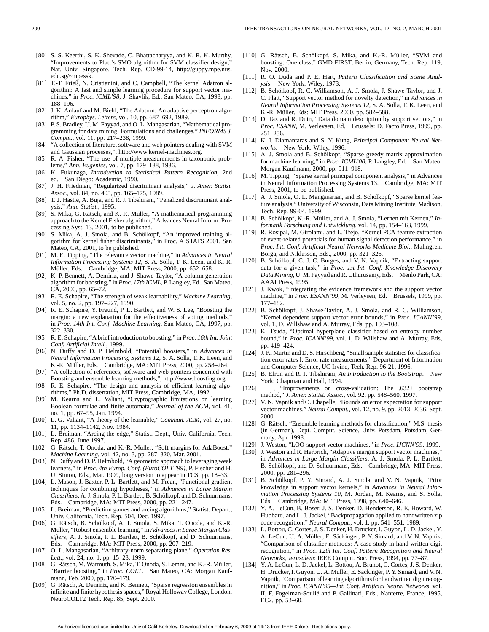- 200 IEEE TRANSACTIONS ON NEURAL NETWORKS, VOL. 12, NO. 2, MARCH 2001
- [80] S. S. Keerthi, S. K. Shevade, C. Bhattacharyya, and K. R. K. Murthy, "Improvements to Platt's SMO algorithm for SVM classifier design, Nat. Univ. Singapore, Tech. Rep. CD-99-14, http://guppy.mpe.nus. edu.sg/~mpessk.
- [81] T.-T. Frieß, N. Cristianini, and C. Campbell, "The kernel Adatron algorithm: A fast and simple learning procedure for support vector machines," in *Proc. ICML'98*, J. Shavlik, Ed.. San Mateo, CA, 1998, pp. 188–196.
- [82] J. K. Anlauf and M. Biehl, "The Adatron: An adaptive perceptron algorithm," *Europhys. Letters*, vol. 10, pp. 687–692, 1989.
- [83] P. S. Bradley, U. M. Fayyad, and O. L. Mangasarian, "Mathematical programming for data mining: Formulations and challenges," *INFORMS J. Comput.*, vol. 11, pp. 217–238, 1999.
- [84] "A collection of literature, software and web pointers dealing with SVM and Gaussian processes,", http://www.kernel-machines.org.
- [85] R. A. Fisher, "The use of multiple measurements in taxonomic problems," *Ann. Eugenics*, vol. 7, pp. 179–188, 1936.
- [86] K. Fukunaga, *Introduction to Statistical Pattern Recognition*, 2nd ed. San Diego: Academic, 1990.
- [87] J. H. Friedman, "Regularized discriminant analysis," *J. Amer. Statist. Assoc.*, vol. 84, no. 405, pp. 165–175, 1989.
- [88] T. J. Hastie, A. Buja, and R. J. Tibshirani, "Penalized discriminant analysis," *Ann. Statist.*, 1995.
- [89] S. Mika, G. Rätsch, and K.-R. Müller, "A mathematical programming approach to the Kernel Fisher algorithm," Advances Neural Inform. Processing Syst. 13, 2001, to be published.
- [90] S. Mika, A. J. Smola, and B. Schölkopf, "An improved training algorithm for kernel fisher discriminants," in Proc. AISTATS 2001. San Mateo, CA, 2001, to be published.
- [91] M. E. Tipping, "The relevance vector machine," in *Advances in Neural Information Processing Systems 12*, S. A. Solla, T. K. Leen, and K.-R. Müller, Eds. Cambridge, MA: MIT Press, 2000, pp. 652–658.
- [92] K. P. Bennett, A. Demiriz, and J. Shawe-Taylor, "A column generation algorithm for boosting," in *Proc. 17th ICML*, P. Langley, Ed.. San Mateo, CA, 2000, pp. 65–72.
- [93] R. E. Schapire, "The strength of weak learnability," *Machine Learning*, vol. 5, no. 2, pp. 197–227, 1990.
- [94] R. E. Schapire, Y. Freund, P. L. Bartlett, and W. S. Lee, "Boosting the margin: a new explanation for the effectiveness of voting methods," in *Proc. 14th Int. Conf. Machine Learning*. San Mateo, CA, 1997, pp. 322–330.
- [95] R. E. Schapire, "A brief introduction to boosting," in *Proc. 16th Int. Joint Conf. Artificial Intell.*, 1999.
- [96] N. Duffy and D. P. Helmbold, "Potential boosters," in *Advances in Neural Information Processing Systems 12*, S. A. Solla, T. K. Leen, and K.-R. Müller, Eds. Cambridge, MA: MIT Press, 2000, pp. 258–264.
- [97] "A collection of references, software and web pointers concerned with Boosting and ensemble learning methods,", http://www.boosting.org.
- [98] R. E. Schapire, "The design and analysis of efficient learning algorithms," Ph.D. dissertation, MIT Press, Cambridge, MA, 1992.
- M. Kearns and L. Valiant, "Cryptographic limitations on learning Boolean formulae and finite automata," *Journal of the ACM*, vol. 41, no. 1, pp. 67–95, Jan. 1994.
- [100] L. G. Valiant, "A theory of the learnable," *Commun. ACM*, vol. 27, no. 11, pp. 1134–1142, Nov. 1984.
- [101] L. Breiman, "Arcing the edge," Statist. Dept., Univ. California, Tech. Rep. 486, June 1997.
- [102] G. Rätsch, T. Onoda, and K.-R. Müller, "Soft margins for AdaBoost," *Machine Learning*, vol. 42, no. 3, pp. 287–320, Mar. 2001.
- [103] N. Duffy and D. P. Helmbold, "A geometric approach to leveraging weak learners," in *Proc. 4th Europ. Conf. (EuroCOLT '99)*, P. Fischer and H. U. Simon, Eds., Mar. 1999, long version to appear in TCS, pp. 18–33.
- [104] L. Mason, J. Baxter, P. L. Bartlett, and M. Frean, "Functional gradient techniques for combining hypotheses," in *Advances in Large Margin Classifiers*, A. J. Smola, P. L. Bartlett, B. Schölkopf, and D. Schuurmans, Eds. Cambridge, MA: MIT Press, 2000, pp. 221–247.
- [105] L. Breiman, "Prediction games and arcing algorithms," Statist. Depart., Univ. California, Tech. Rep. 504, Dec. 1997.
- [106] G. Rätsch, B. Schölkopf, A. J. Smola, S. Mika, T. Onoda, and K.-R. Müller, "Robust ensemble learning," in *Advances in Large Margin Classifiers*, A. J. Smola, P. L. Bartlett, B. Schölkopf, and D. Schuurmans, Eds. Cambridge, MA: MIT Press, 2000, pp. 207–219.
- [107] O. L. Mangasarian, "Arbitrary-norm separating plane," *Operation Res. Lett.*, vol. 24, no. 1, pp. 15–23, 1999.
- [108] G. Rätsch, M. Warmuth, S. Mika, T. Onoda, S. Lemm, and K.-R. Müller, "Barrier boosting," in *Proc. COLT*. San Mateo, CA: Morgan Kaufmann, Feb. 2000, pp. 170–179.
- [109] G. Rätsch, A. Demiriz, and K. Bennett, "Sparse regression ensembles in infinite and finite hypothesis spaces," Royal Holloway College, London, NeuroCOLT2 Tech. Rep. 85, Sept. 2000.
- [110] G. Rätsch, B. Schölkopf, S. Mika, and K.-R. Müller, "SVM and boosting: One class," GMD FIRST, Berlin, Germany, Tech. Rep. 119, Nov. 2000.
- [111] R. O. Duda and P. E. Hart, *Pattern Classification and Scene Analysis*. New York: Wiley, 1973.
- [112] B. Schölkopf, R. C. Williamson, A. J. Smola, J. Shawe-Taylor, and J. C. Platt, "Support vector method for novelty detection," in *Advances in Neural Information Processing Systems 12*, S. A. Solla, T. K. Leen, and K.-R. Müller, Eds: MIT Press, 2000, pp. 582–588.
- [113] D. Tax and R. Duin, "Data domain description by support vectors," in *Proc. ESANN*, M. Verleysen, Ed. Brussels: D. Facto Press, 1999, pp. 251–256.
- [114] K. I. Diamantaras and S. Y. Kung, *Principal Component Neural Networks*. New York: Wiley, 1996.
- [115] A. J. Smola and B. Schölkopf, "Sparse greedy matrix approximation for machine learning," in *Proc. ICML'00*, P. Langley, Ed. San Mateo: Morgan Kaufmann, 2000, pp. 911–918.
- [116] M. Tipping, "Sparse kernel principal component analysis," in Advances in Neural Information Processing Systems 13. Cambridge, MA: MIT Press, 2001, to be published.
- [117] A. J. Smola, O. L. Mangasarian, and B. Schölkopf, "Sparse kernel feature analysis," University of Wisconsin, Data Mining Institute, Madison, Tech. Rep. 99-04, 1999.
- [118] B. Schölkopf, K.-R. Müller, and A. J. Smola, "Lernen mit Kernen," *Informatik Forschung und Entwicklung*, vol. 14, pp. 154–163, 1999.
- [119] R. Rosipal, M. Girolami, and L. Trejo, "Kernel PCA feature extraction of event-related potentials for human signal detection performance," in *Proc. Int. Conf. Artificial Neural Networks Medicine Biol.*, Malmgren, Borga, and Niklasson, Eds., 2000, pp. 321–326.
- [120] B. Schölkopf, C. J. C. Burges, and V. N. Vapnik, "Extracting support data for a given task," in *Proc. 1st Int. Conf. Knowledge Discovery Data Mining*, U. M. Fayyad and R. Uthurusamy, Eds. Menlo Park, CA: AAAI Press, 1995.
- [121] J. Kwok, "Integrating the evidence framework and the support vector machine," in *Proc. ESANN'99*, M. Verleysen, Ed. Brussels, 1999, pp. 177–182.
- [122] B. Schölkopf, J. Shawe-Taylor, A. J. Smola, and R. C. Williamson, "Kernel dependent support vector error bounds," in *Proc. ICANN'99*, vol. 1, D. Willshaw and A. Murray, Eds, pp. 103–108.
- [123] K. Tsuda, "Optimal hyperplane classifier based on entropy number bound," in *Proc. ICANN'99*, vol. 1, D. Willshaw and A. Murray, Eds, pp. 419–424.
- [124] J. K. Martin and D. S. Hirschberg, "Small sample statistics for classification error rates I: Error rate measurements," Department of Information and Computer Science, UC Irvine, Tech. Rep. 96-21, 1996.
- [125] B. Efron and R. J. Tibshirani, *An Introduction to the Bootstrap*. New York: Chapman and Hall, 1994.
- [126] -, "Improvements on cross-validation: The .632+ bootstrap method," *J. Amer. Statist. Assoc.*, vol. 92, pp. 548–560, 1997.
- [127] V. N. Vapnik and O. Chapelle, "Bounds on error expectation for support vector machines," *Neural Comput.*, vol. 12, no. 9, pp. 2013–2036, Sept. 2000.
- [128] G. Rätsch, "Ensemble learning methods for classification," M.S. thesis (in German), Dept. Comput. Science, Univ. Potsdam, Potsdam, Germany, Apr. 1998.
- [129] J. Weston, "LOO-support vector machines," in *Proc. IJCNN'99*, 1999.
- [130] J. Weston and R. Herbrich, "Adaptive margin support vector machines," in *Advances in Large Margin Classifiers*, A. J. Smola, P. L. Bartlett, B. Schölkopf, and D. Schuurmans, Eds. Cambridge, MA: MIT Press, 2000, pp. 281–296.
- [131] B. Schölkopf, P. Y. Simard, A. J. Smola, and V. N. Vapnik, "Prior knowledge in support vector kernels," in *Advances in Neural Information Processing Systems 10*, M. Jordan, M. Kearns, and S. Solla, Eds. Cambridge, MA: MIT Press, 1998, pp. 640–646.
- [132] Y. A. LeCun, B. Boser, J. S. Denker, D. Henderson, R. E. Howard, W. Hubbard, and L. J. Jackel, "Backpropagation applied to handwritten zip code recognition," *Neural Comput.*, vol. 1, pp. 541–551, 1989.
- [133] L. Bottou, C. Cortes, J. S. Denker, H. Drucker, I. Guyon, L. D. Jackel, Y. A. LeCun, U. A. Müller, E. Säckinger, P. Y. Simard, and V. N. Vapnik, "Comparison of classifier methods: A case study in hand written digit recognition," in *Proc. 12th Int. Conf. Pattern Recognition and Neural Networks, Jerusalem*: IEEE Comput. Soc. Press, 1994, pp. 77–87.
- [134] Y. A. LeCun, L. D. Jackel, L. Bottou, A. Brunot, C. Cortes, J. S. Denker, H. Drucker, I. Guyon, U. A. Müller, E. Säckinger, P. Y. Simard, and V. N. Vapnik, "Comparison of learning algorithms for handwritten digit recognition," in *Proc. ICANN'95—Int. Conf. Artificial Neural Networks*, vol. II, F. Fogelman-Soulié and P. Gallinari, Eds., Nanterre, France, 1995, EC2, pp. 53–60.